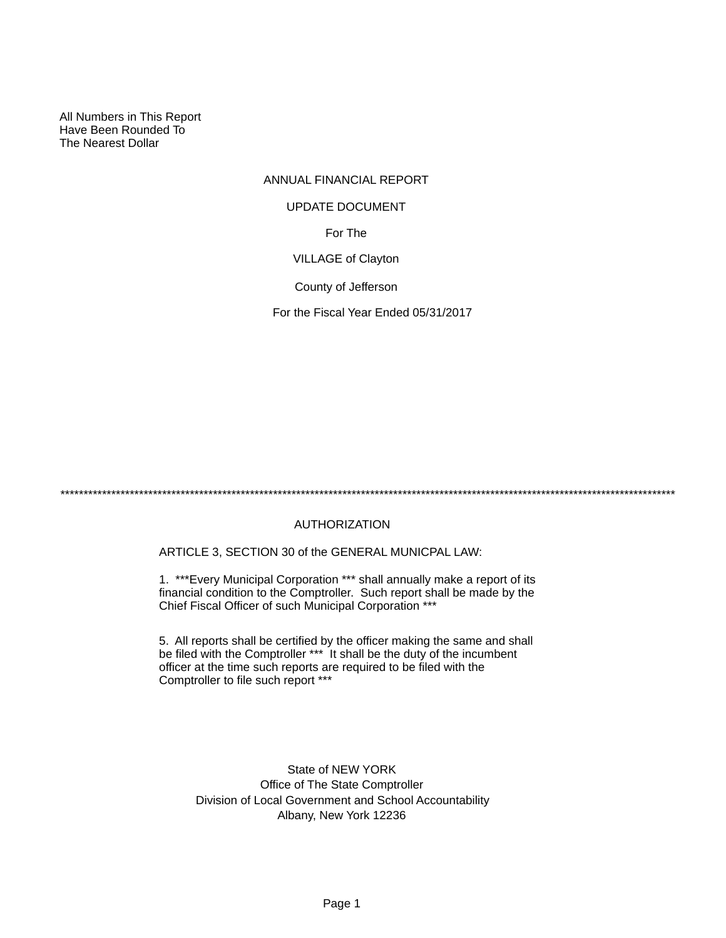All Numbers in This Report Have Been Rounded To The Nearest Dollar

# ANNUAL FINANCIAL REPORT For The VILLAGE of Clayton County of Jefferson UPDATE DOCUMENT

For the Fiscal Year Ended 05/31/2017

\*\*\*\*\*\*\*\*\*\*\*\*\*\*\*\*\*\*\*\*\*\*\*\*\*\*\*\*\*\*\*\*\*\*\*\*\*\*\*\*\*\*\*\*\*\*\*\*\*\*\*\*\*\*\*\*\*\*\*\*\*\*\*\*\*\*\*\*\*\*\*\*\*\*\*\*\*\*\*\*\*\*\*\*\*\*\*\*\*\*\*\*\*\*\*\*\*\*\*\*\*\*\*\*\*\*\*\*\*\*\*\*\*\*\*\*\*\*\*\*\*\*\*\*\*\*\*\*\*\*\*\*\*

# AUTHORIZATION

ARTICLE 3, SECTION 30 of the GENERAL MUNICPAL LAW:

1. \*\*\*Every Municipal Corporation \*\*\* shall annually make a report of its financial condition to the Comptroller. Such report shall be made by the Chief Fiscal Officer of such Municipal Corporation \*\*\*

5. All reports shall be certified by the officer making the same and shall be filed with the Comptroller \*\*\* It shall be the duty of the incumbent officer at the time such reports are required to be filed with the Comptroller to file such report \*\*\*

State of NEW YORK Office of The State Comptroller Division of Local Government and School Accountability Albany, New York 12236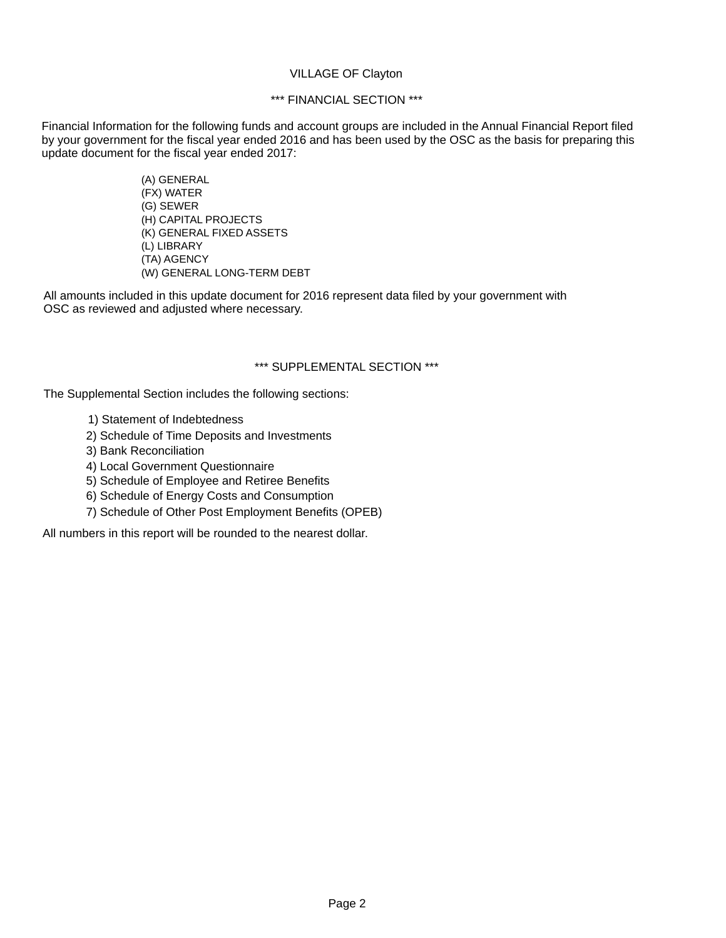#### VILLAGE OF Clayton

## \*\*\* FINANCIAL SECTION \*\*\*

Financial Information for the following funds and account groups are included in the Annual Financial Report filed by your government for the fiscal year ended 2016 and has been used by the OSC as the basis for preparing this update document for the fiscal year ended 2017:

> (A) GENERAL (FX) WATER (G) SEWER (H) CAPITAL PROJECTS (K) GENERAL FIXED ASSETS (L) LIBRARY (TA) AGENCY (W) GENERAL LONG-TERM DEBT

All amounts included in this update document for 2016 represent data filed by your government with OSC as reviewed and adjusted where necessary.

#### \*\*\* SUPPLEMENTAL SECTION \*\*\*

The Supplemental Section includes the following sections:

- 1) Statement of Indebtedness
- 2) Schedule of Time Deposits and Investments
- 3) Bank Reconciliation
- 4) Local Government Questionnaire
- 5) Schedule of Employee and Retiree Benefits
- 6) Schedule of Energy Costs and Consumption
- 7) Schedule of Other Post Employment Benefits (OPEB)

All numbers in this report will be rounded to the nearest dollar.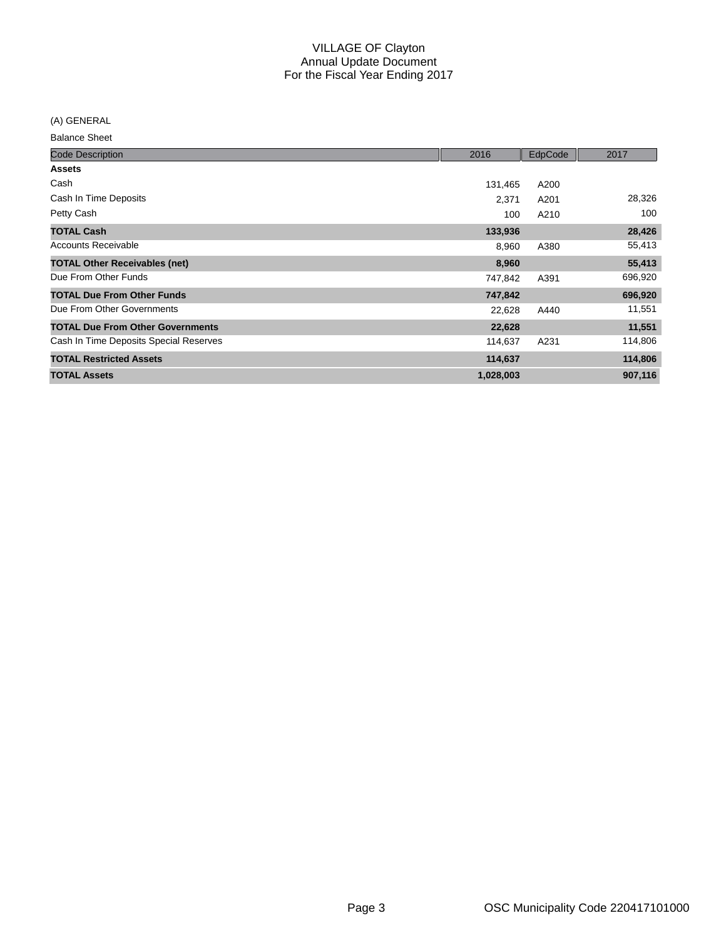(A) GENERAL

| <b>Code Description</b>                 | 2016      | EdpCode | 2017    |
|-----------------------------------------|-----------|---------|---------|
| <b>Assets</b>                           |           |         |         |
| Cash                                    | 131,465   | A200    |         |
| Cash In Time Deposits                   | 2,371     | A201    | 28,326  |
| Petty Cash                              | 100       | A210    | 100     |
| <b>TOTAL Cash</b>                       | 133,936   |         | 28,426  |
| Accounts Receivable                     | 8,960     | A380    | 55,413  |
| <b>TOTAL Other Receivables (net)</b>    | 8,960     |         | 55,413  |
| Due From Other Funds                    | 747,842   | A391    | 696,920 |
| <b>TOTAL Due From Other Funds</b>       | 747,842   |         | 696,920 |
| Due From Other Governments              | 22,628    | A440    | 11,551  |
| <b>TOTAL Due From Other Governments</b> | 22,628    |         | 11,551  |
| Cash In Time Deposits Special Reserves  | 114,637   | A231    | 114,806 |
| <b>TOTAL Restricted Assets</b>          | 114,637   |         | 114,806 |
| <b>TOTAL Assets</b>                     | 1,028,003 |         | 907,116 |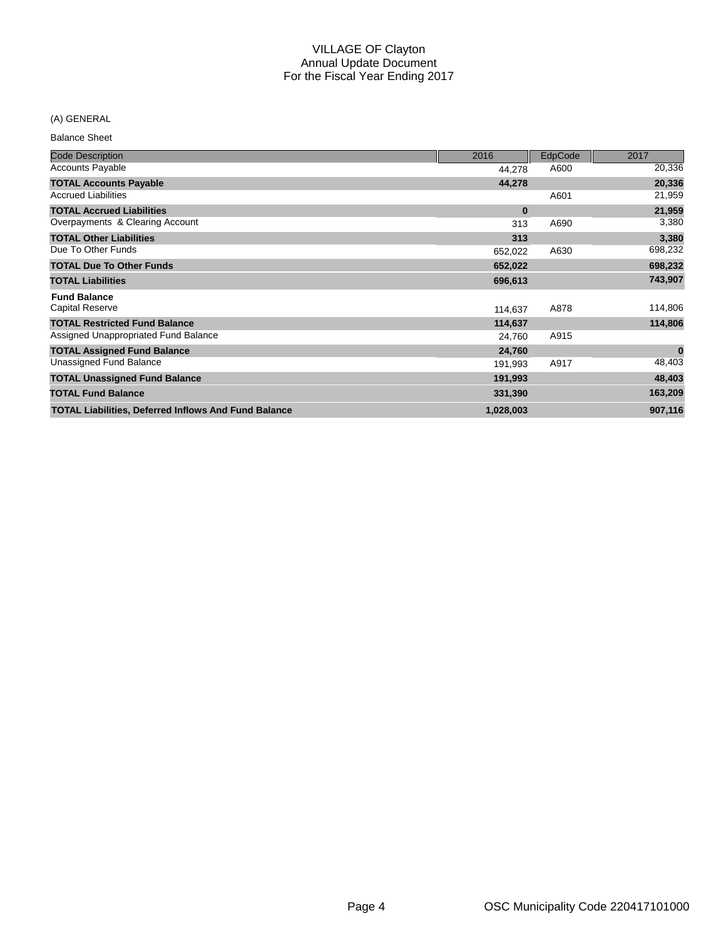## (A) GENERAL

| <b>Code Description</b>                                     | 2016      | EdpCode | 2017      |
|-------------------------------------------------------------|-----------|---------|-----------|
| <b>Accounts Payable</b>                                     | 44,278    | A600    | 20,336    |
| <b>TOTAL Accounts Payable</b>                               | 44,278    |         | 20,336    |
| <b>Accrued Liabilities</b>                                  |           | A601    | 21,959    |
| <b>TOTAL Accrued Liabilities</b>                            | $\bf{0}$  |         | 21,959    |
| Overpayments & Clearing Account                             | 313       | A690    | 3,380     |
| <b>TOTAL Other Liabilities</b>                              | 313       |         | 3,380     |
| Due To Other Funds                                          | 652,022   | A630    | 698,232   |
| <b>TOTAL Due To Other Funds</b>                             | 652,022   |         | 698,232   |
| <b>TOTAL Liabilities</b>                                    | 696,613   |         | 743,907   |
| <b>Fund Balance</b>                                         |           |         |           |
| <b>Capital Reserve</b>                                      | 114,637   | A878    | 114,806   |
| <b>TOTAL Restricted Fund Balance</b>                        | 114,637   |         | 114,806   |
| Assigned Unappropriated Fund Balance                        | 24,760    | A915    |           |
| <b>TOTAL Assigned Fund Balance</b>                          | 24,760    |         | $\pmb{0}$ |
| Unassigned Fund Balance                                     | 191,993   | A917    | 48,403    |
| <b>TOTAL Unassigned Fund Balance</b>                        | 191,993   |         | 48,403    |
| <b>TOTAL Fund Balance</b>                                   | 331,390   |         | 163,209   |
| <b>TOTAL Liabilities, Deferred Inflows And Fund Balance</b> | 1,028,003 |         | 907,116   |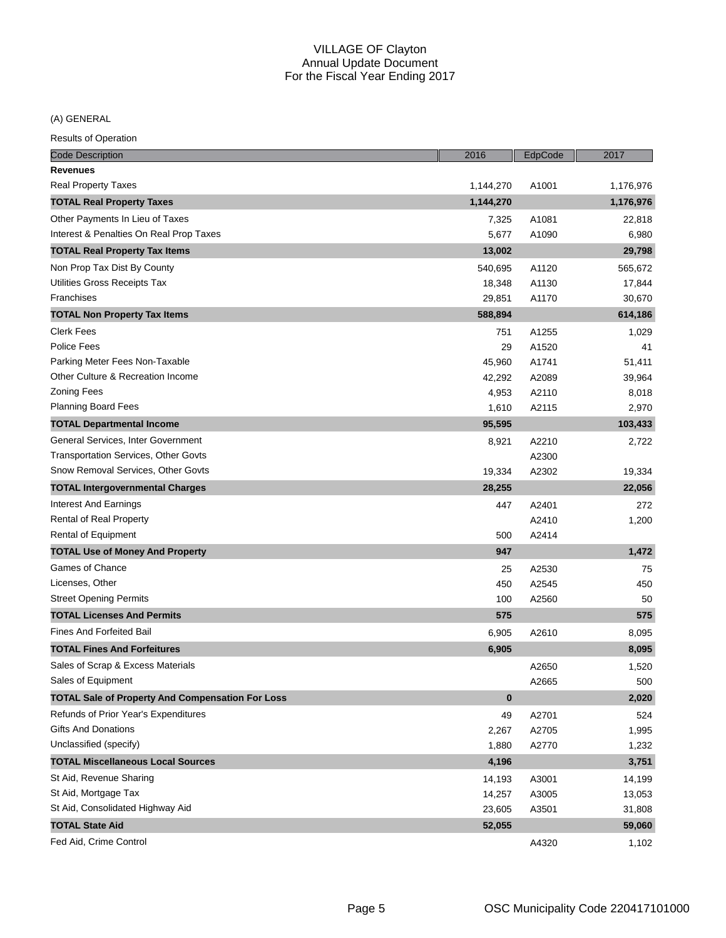(A) GENERAL

| <b>Code Description</b>                                 | 2016      | EdpCode | 2017      |
|---------------------------------------------------------|-----------|---------|-----------|
| <b>Revenues</b>                                         |           |         |           |
| <b>Real Property Taxes</b>                              | 1,144,270 | A1001   | 1,176,976 |
| <b>TOTAL Real Property Taxes</b>                        | 1,144,270 |         | 1,176,976 |
| Other Payments In Lieu of Taxes                         | 7,325     | A1081   | 22,818    |
| Interest & Penalties On Real Prop Taxes                 | 5,677     | A1090   | 6,980     |
| <b>TOTAL Real Property Tax Items</b>                    | 13,002    |         | 29,798    |
| Non Prop Tax Dist By County                             | 540,695   | A1120   | 565,672   |
| Utilities Gross Receipts Tax                            | 18,348    | A1130   | 17,844    |
| Franchises                                              | 29,851    | A1170   | 30,670    |
| <b>TOTAL Non Property Tax Items</b>                     | 588,894   |         | 614,186   |
| <b>Clerk Fees</b>                                       | 751       | A1255   | 1,029     |
| Police Fees                                             | 29        | A1520   | 41        |
| Parking Meter Fees Non-Taxable                          | 45,960    | A1741   | 51,411    |
| Other Culture & Recreation Income                       | 42,292    | A2089   | 39,964    |
| <b>Zoning Fees</b>                                      | 4,953     | A2110   | 8,018     |
| <b>Planning Board Fees</b>                              | 1,610     | A2115   | 2,970     |
| <b>TOTAL Departmental Income</b>                        | 95,595    |         | 103,433   |
| General Services, Inter Government                      | 8,921     | A2210   | 2,722     |
| Transportation Services, Other Govts                    |           | A2300   |           |
| Snow Removal Services, Other Govts                      | 19,334    | A2302   | 19,334    |
| <b>TOTAL Intergovernmental Charges</b>                  | 28,255    |         | 22,056    |
| Interest And Earnings                                   | 447       | A2401   | 272       |
| Rental of Real Property                                 |           | A2410   | 1,200     |
| Rental of Equipment                                     | 500       | A2414   |           |
| <b>TOTAL Use of Money And Property</b>                  | 947       |         | 1,472     |
| Games of Chance                                         | 25        | A2530   | 75        |
| Licenses, Other                                         | 450       | A2545   | 450       |
| <b>Street Opening Permits</b>                           | 100       | A2560   | 50        |
| <b>TOTAL Licenses And Permits</b>                       | 575       |         | 575       |
| <b>Fines And Forfeited Bail</b>                         | 6,905     | A2610   | 8,095     |
| <b>TOTAL Fines And Forfeitures</b>                      | 6,905     |         | 8,095     |
| Sales of Scrap & Excess Materials                       |           | A2650   | 1,520     |
| Sales of Equipment                                      |           | A2665   | 500       |
| <b>TOTAL Sale of Property And Compensation For Loss</b> | $\bf{0}$  |         | 2,020     |
| Refunds of Prior Year's Expenditures                    | 49        | A2701   | 524       |
| <b>Gifts And Donations</b>                              | 2,267     | A2705   | 1,995     |
| Unclassified (specify)                                  | 1,880     | A2770   | 1,232     |
| <b>TOTAL Miscellaneous Local Sources</b>                | 4,196     |         | 3,751     |
| St Aid, Revenue Sharing                                 | 14,193    | A3001   | 14,199    |
| St Aid, Mortgage Tax                                    | 14,257    | A3005   | 13,053    |
| St Aid, Consolidated Highway Aid                        | 23,605    | A3501   | 31,808    |
| <b>TOTAL State Aid</b>                                  | 52,055    |         | 59,060    |
| Fed Aid, Crime Control                                  |           | A4320   | 1,102     |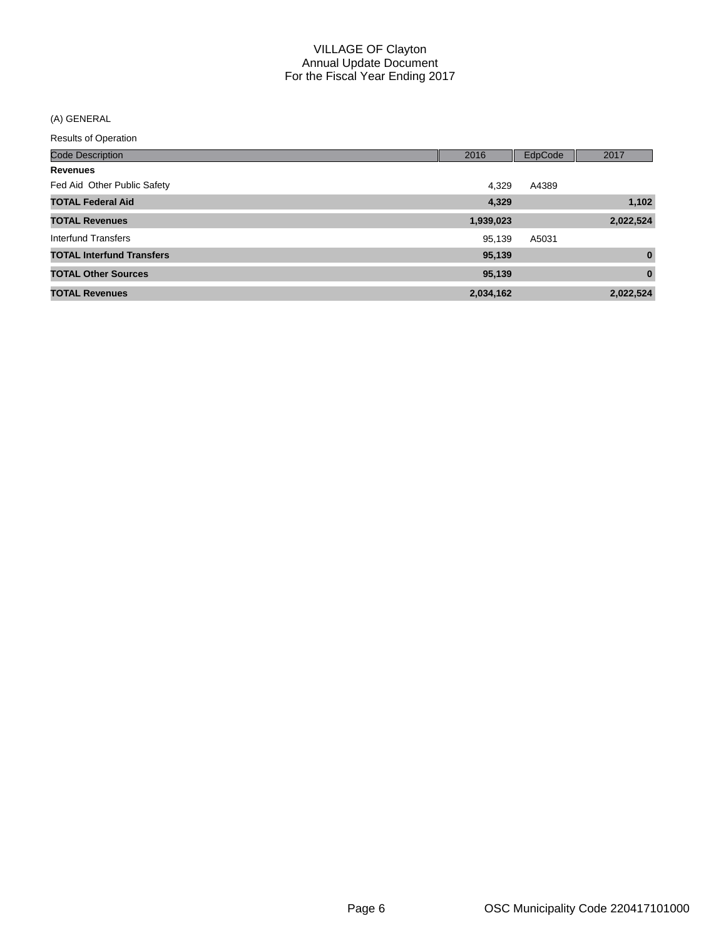## (A) GENERAL

| <b>Code Description</b>          | 2016      | EdpCode | 2017      |
|----------------------------------|-----------|---------|-----------|
| <b>Revenues</b>                  |           |         |           |
| Fed Aid Other Public Safety      | 4,329     | A4389   |           |
| <b>TOTAL Federal Aid</b>         | 4,329     |         | 1,102     |
| <b>TOTAL Revenues</b>            | 1,939,023 |         | 2,022,524 |
| Interfund Transfers              | 95,139    | A5031   |           |
| <b>TOTAL Interfund Transfers</b> | 95,139    |         | $\bf{0}$  |
| <b>TOTAL Other Sources</b>       | 95,139    |         | $\bf{0}$  |
| <b>TOTAL Revenues</b>            | 2,034,162 |         | 2,022,524 |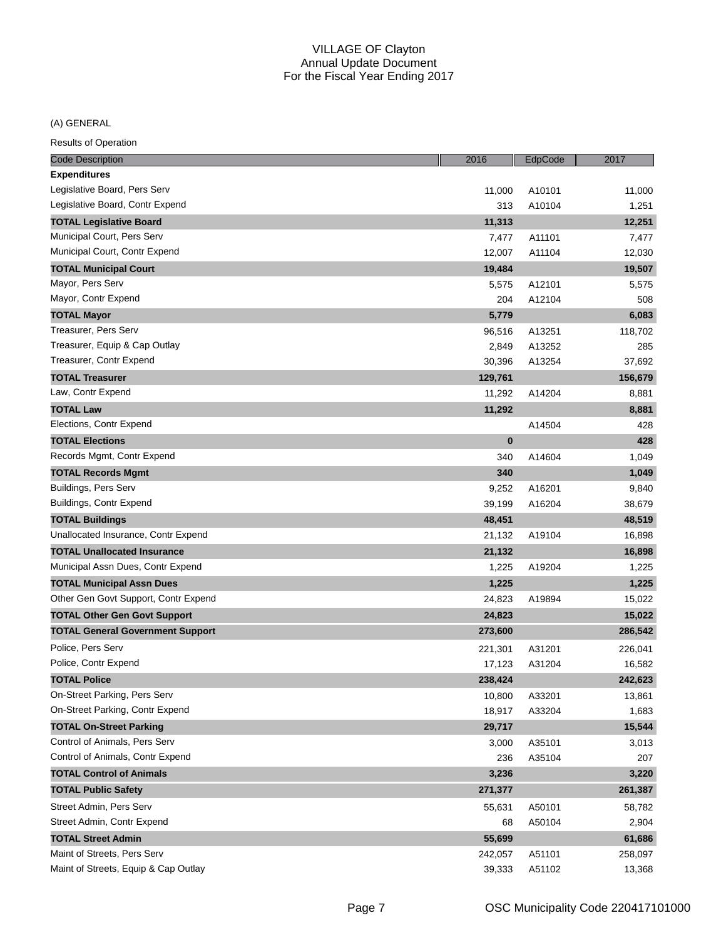## (A) GENERAL

| 11,000<br>A10101<br>11,000<br>Legislative Board, Contr Expend<br>313<br>A10104<br>1,251<br><b>TOTAL Legislative Board</b><br>11,313<br>12,251<br>A11101<br>7,477<br>7,477<br>12,007<br>A11104<br>12,030<br>19,484<br>19,507<br>A12101<br>5,575<br>5,575<br>204<br>A12104<br>508<br>6,083<br>5,779<br>A13251<br>118,702<br>96,516<br>A13252<br>285<br>2,849<br>37,692<br>30,396<br>A13254<br><b>TOTAL Treasurer</b><br>129,761<br>156,679<br>Law, Contr Expend<br>11,292<br>A14204<br>8,881<br>11,292<br>8,881<br>Elections, Contr Expend<br>428<br>A14504<br>$\bf{0}$<br><b>TOTAL Elections</b><br>428<br>Records Mgmt, Contr Expend<br>340<br>A14604<br>1,049<br>340<br>1,049<br>9,252<br>A16201<br>9,840<br>39,199<br>A16204<br>38,679<br><b>TOTAL Buildings</b><br>48,451<br>48,519<br>Unallocated Insurance, Contr Expend<br>A19104<br>16,898<br>21,132<br>16,898<br>21,132<br>1,225<br>A19204<br>1,225<br><b>TOTAL Municipal Assn Dues</b><br>1,225<br>1,225<br>24,823<br>A19894<br>15,022<br>15,022<br><b>TOTAL Other Gen Govt Support</b><br>24,823<br>286,542<br><b>TOTAL General Government Support</b><br>273,600<br>Police, Pers Serv<br>226,041<br>221,301<br>A31201<br>Police, Contr Expend<br>17,123<br>A31204<br>16,582<br><b>TOTAL Police</b><br>238,424<br>242,623<br>On-Street Parking, Pers Serv<br>10,800<br>A33201<br>13,861<br>On-Street Parking, Contr Expend<br>A33204<br>18,917<br>1,683<br><b>TOTAL On-Street Parking</b><br>29,717<br>15,544<br>Control of Animals, Pers Serv<br>3,000<br>A35101<br>3,013<br>236<br>A35104<br>207<br><b>TOTAL Control of Animals</b><br>3,236<br>3,220<br>261,387<br><b>TOTAL Public Safety</b><br>271,377<br>Street Admin, Pers Serv<br>A50101<br>55,631<br>58,782<br>A50104<br>2,904<br>68<br><b>TOTAL Street Admin</b><br>55,699<br>61,686<br>Maint of Streets, Pers Serv<br>A51101<br>258,097<br>242,057<br>39,333 | <b>Code Description</b>              | 2016 | EdpCode | 2017   |
|-----------------------------------------------------------------------------------------------------------------------------------------------------------------------------------------------------------------------------------------------------------------------------------------------------------------------------------------------------------------------------------------------------------------------------------------------------------------------------------------------------------------------------------------------------------------------------------------------------------------------------------------------------------------------------------------------------------------------------------------------------------------------------------------------------------------------------------------------------------------------------------------------------------------------------------------------------------------------------------------------------------------------------------------------------------------------------------------------------------------------------------------------------------------------------------------------------------------------------------------------------------------------------------------------------------------------------------------------------------------------------------------------------------------------------------------------------------------------------------------------------------------------------------------------------------------------------------------------------------------------------------------------------------------------------------------------------------------------------------------------------------------------------------------------------------------------------------------------------------------------------------|--------------------------------------|------|---------|--------|
|                                                                                                                                                                                                                                                                                                                                                                                                                                                                                                                                                                                                                                                                                                                                                                                                                                                                                                                                                                                                                                                                                                                                                                                                                                                                                                                                                                                                                                                                                                                                                                                                                                                                                                                                                                                                                                                                                   | <b>Expenditures</b>                  |      |         |        |
|                                                                                                                                                                                                                                                                                                                                                                                                                                                                                                                                                                                                                                                                                                                                                                                                                                                                                                                                                                                                                                                                                                                                                                                                                                                                                                                                                                                                                                                                                                                                                                                                                                                                                                                                                                                                                                                                                   | Legislative Board, Pers Serv         |      |         |        |
|                                                                                                                                                                                                                                                                                                                                                                                                                                                                                                                                                                                                                                                                                                                                                                                                                                                                                                                                                                                                                                                                                                                                                                                                                                                                                                                                                                                                                                                                                                                                                                                                                                                                                                                                                                                                                                                                                   |                                      |      |         |        |
|                                                                                                                                                                                                                                                                                                                                                                                                                                                                                                                                                                                                                                                                                                                                                                                                                                                                                                                                                                                                                                                                                                                                                                                                                                                                                                                                                                                                                                                                                                                                                                                                                                                                                                                                                                                                                                                                                   |                                      |      |         |        |
|                                                                                                                                                                                                                                                                                                                                                                                                                                                                                                                                                                                                                                                                                                                                                                                                                                                                                                                                                                                                                                                                                                                                                                                                                                                                                                                                                                                                                                                                                                                                                                                                                                                                                                                                                                                                                                                                                   | Municipal Court, Pers Serv           |      |         |        |
|                                                                                                                                                                                                                                                                                                                                                                                                                                                                                                                                                                                                                                                                                                                                                                                                                                                                                                                                                                                                                                                                                                                                                                                                                                                                                                                                                                                                                                                                                                                                                                                                                                                                                                                                                                                                                                                                                   | Municipal Court, Contr Expend        |      |         |        |
|                                                                                                                                                                                                                                                                                                                                                                                                                                                                                                                                                                                                                                                                                                                                                                                                                                                                                                                                                                                                                                                                                                                                                                                                                                                                                                                                                                                                                                                                                                                                                                                                                                                                                                                                                                                                                                                                                   | <b>TOTAL Municipal Court</b>         |      |         |        |
|                                                                                                                                                                                                                                                                                                                                                                                                                                                                                                                                                                                                                                                                                                                                                                                                                                                                                                                                                                                                                                                                                                                                                                                                                                                                                                                                                                                                                                                                                                                                                                                                                                                                                                                                                                                                                                                                                   | Mayor, Pers Serv                     |      |         |        |
|                                                                                                                                                                                                                                                                                                                                                                                                                                                                                                                                                                                                                                                                                                                                                                                                                                                                                                                                                                                                                                                                                                                                                                                                                                                                                                                                                                                                                                                                                                                                                                                                                                                                                                                                                                                                                                                                                   | Mayor, Contr Expend                  |      |         |        |
|                                                                                                                                                                                                                                                                                                                                                                                                                                                                                                                                                                                                                                                                                                                                                                                                                                                                                                                                                                                                                                                                                                                                                                                                                                                                                                                                                                                                                                                                                                                                                                                                                                                                                                                                                                                                                                                                                   | <b>TOTAL Mayor</b>                   |      |         |        |
|                                                                                                                                                                                                                                                                                                                                                                                                                                                                                                                                                                                                                                                                                                                                                                                                                                                                                                                                                                                                                                                                                                                                                                                                                                                                                                                                                                                                                                                                                                                                                                                                                                                                                                                                                                                                                                                                                   | Treasurer, Pers Serv                 |      |         |        |
|                                                                                                                                                                                                                                                                                                                                                                                                                                                                                                                                                                                                                                                                                                                                                                                                                                                                                                                                                                                                                                                                                                                                                                                                                                                                                                                                                                                                                                                                                                                                                                                                                                                                                                                                                                                                                                                                                   | Treasurer, Equip & Cap Outlay        |      |         |        |
|                                                                                                                                                                                                                                                                                                                                                                                                                                                                                                                                                                                                                                                                                                                                                                                                                                                                                                                                                                                                                                                                                                                                                                                                                                                                                                                                                                                                                                                                                                                                                                                                                                                                                                                                                                                                                                                                                   | Treasurer, Contr Expend              |      |         |        |
|                                                                                                                                                                                                                                                                                                                                                                                                                                                                                                                                                                                                                                                                                                                                                                                                                                                                                                                                                                                                                                                                                                                                                                                                                                                                                                                                                                                                                                                                                                                                                                                                                                                                                                                                                                                                                                                                                   |                                      |      |         |        |
|                                                                                                                                                                                                                                                                                                                                                                                                                                                                                                                                                                                                                                                                                                                                                                                                                                                                                                                                                                                                                                                                                                                                                                                                                                                                                                                                                                                                                                                                                                                                                                                                                                                                                                                                                                                                                                                                                   |                                      |      |         |        |
|                                                                                                                                                                                                                                                                                                                                                                                                                                                                                                                                                                                                                                                                                                                                                                                                                                                                                                                                                                                                                                                                                                                                                                                                                                                                                                                                                                                                                                                                                                                                                                                                                                                                                                                                                                                                                                                                                   | <b>TOTAL Law</b>                     |      |         |        |
|                                                                                                                                                                                                                                                                                                                                                                                                                                                                                                                                                                                                                                                                                                                                                                                                                                                                                                                                                                                                                                                                                                                                                                                                                                                                                                                                                                                                                                                                                                                                                                                                                                                                                                                                                                                                                                                                                   |                                      |      |         |        |
|                                                                                                                                                                                                                                                                                                                                                                                                                                                                                                                                                                                                                                                                                                                                                                                                                                                                                                                                                                                                                                                                                                                                                                                                                                                                                                                                                                                                                                                                                                                                                                                                                                                                                                                                                                                                                                                                                   |                                      |      |         |        |
|                                                                                                                                                                                                                                                                                                                                                                                                                                                                                                                                                                                                                                                                                                                                                                                                                                                                                                                                                                                                                                                                                                                                                                                                                                                                                                                                                                                                                                                                                                                                                                                                                                                                                                                                                                                                                                                                                   |                                      |      |         |        |
|                                                                                                                                                                                                                                                                                                                                                                                                                                                                                                                                                                                                                                                                                                                                                                                                                                                                                                                                                                                                                                                                                                                                                                                                                                                                                                                                                                                                                                                                                                                                                                                                                                                                                                                                                                                                                                                                                   | <b>TOTAL Records Mgmt</b>            |      |         |        |
|                                                                                                                                                                                                                                                                                                                                                                                                                                                                                                                                                                                                                                                                                                                                                                                                                                                                                                                                                                                                                                                                                                                                                                                                                                                                                                                                                                                                                                                                                                                                                                                                                                                                                                                                                                                                                                                                                   | Buildings, Pers Serv                 |      |         |        |
|                                                                                                                                                                                                                                                                                                                                                                                                                                                                                                                                                                                                                                                                                                                                                                                                                                                                                                                                                                                                                                                                                                                                                                                                                                                                                                                                                                                                                                                                                                                                                                                                                                                                                                                                                                                                                                                                                   | Buildings, Contr Expend              |      |         |        |
|                                                                                                                                                                                                                                                                                                                                                                                                                                                                                                                                                                                                                                                                                                                                                                                                                                                                                                                                                                                                                                                                                                                                                                                                                                                                                                                                                                                                                                                                                                                                                                                                                                                                                                                                                                                                                                                                                   |                                      |      |         |        |
|                                                                                                                                                                                                                                                                                                                                                                                                                                                                                                                                                                                                                                                                                                                                                                                                                                                                                                                                                                                                                                                                                                                                                                                                                                                                                                                                                                                                                                                                                                                                                                                                                                                                                                                                                                                                                                                                                   |                                      |      |         |        |
|                                                                                                                                                                                                                                                                                                                                                                                                                                                                                                                                                                                                                                                                                                                                                                                                                                                                                                                                                                                                                                                                                                                                                                                                                                                                                                                                                                                                                                                                                                                                                                                                                                                                                                                                                                                                                                                                                   | <b>TOTAL Unallocated Insurance</b>   |      |         |        |
|                                                                                                                                                                                                                                                                                                                                                                                                                                                                                                                                                                                                                                                                                                                                                                                                                                                                                                                                                                                                                                                                                                                                                                                                                                                                                                                                                                                                                                                                                                                                                                                                                                                                                                                                                                                                                                                                                   | Municipal Assn Dues, Contr Expend    |      |         |        |
|                                                                                                                                                                                                                                                                                                                                                                                                                                                                                                                                                                                                                                                                                                                                                                                                                                                                                                                                                                                                                                                                                                                                                                                                                                                                                                                                                                                                                                                                                                                                                                                                                                                                                                                                                                                                                                                                                   |                                      |      |         |        |
|                                                                                                                                                                                                                                                                                                                                                                                                                                                                                                                                                                                                                                                                                                                                                                                                                                                                                                                                                                                                                                                                                                                                                                                                                                                                                                                                                                                                                                                                                                                                                                                                                                                                                                                                                                                                                                                                                   | Other Gen Govt Support, Contr Expend |      |         |        |
|                                                                                                                                                                                                                                                                                                                                                                                                                                                                                                                                                                                                                                                                                                                                                                                                                                                                                                                                                                                                                                                                                                                                                                                                                                                                                                                                                                                                                                                                                                                                                                                                                                                                                                                                                                                                                                                                                   |                                      |      |         |        |
|                                                                                                                                                                                                                                                                                                                                                                                                                                                                                                                                                                                                                                                                                                                                                                                                                                                                                                                                                                                                                                                                                                                                                                                                                                                                                                                                                                                                                                                                                                                                                                                                                                                                                                                                                                                                                                                                                   |                                      |      |         |        |
|                                                                                                                                                                                                                                                                                                                                                                                                                                                                                                                                                                                                                                                                                                                                                                                                                                                                                                                                                                                                                                                                                                                                                                                                                                                                                                                                                                                                                                                                                                                                                                                                                                                                                                                                                                                                                                                                                   |                                      |      |         |        |
|                                                                                                                                                                                                                                                                                                                                                                                                                                                                                                                                                                                                                                                                                                                                                                                                                                                                                                                                                                                                                                                                                                                                                                                                                                                                                                                                                                                                                                                                                                                                                                                                                                                                                                                                                                                                                                                                                   |                                      |      |         |        |
|                                                                                                                                                                                                                                                                                                                                                                                                                                                                                                                                                                                                                                                                                                                                                                                                                                                                                                                                                                                                                                                                                                                                                                                                                                                                                                                                                                                                                                                                                                                                                                                                                                                                                                                                                                                                                                                                                   |                                      |      |         |        |
|                                                                                                                                                                                                                                                                                                                                                                                                                                                                                                                                                                                                                                                                                                                                                                                                                                                                                                                                                                                                                                                                                                                                                                                                                                                                                                                                                                                                                                                                                                                                                                                                                                                                                                                                                                                                                                                                                   |                                      |      |         |        |
|                                                                                                                                                                                                                                                                                                                                                                                                                                                                                                                                                                                                                                                                                                                                                                                                                                                                                                                                                                                                                                                                                                                                                                                                                                                                                                                                                                                                                                                                                                                                                                                                                                                                                                                                                                                                                                                                                   |                                      |      |         |        |
|                                                                                                                                                                                                                                                                                                                                                                                                                                                                                                                                                                                                                                                                                                                                                                                                                                                                                                                                                                                                                                                                                                                                                                                                                                                                                                                                                                                                                                                                                                                                                                                                                                                                                                                                                                                                                                                                                   |                                      |      |         |        |
|                                                                                                                                                                                                                                                                                                                                                                                                                                                                                                                                                                                                                                                                                                                                                                                                                                                                                                                                                                                                                                                                                                                                                                                                                                                                                                                                                                                                                                                                                                                                                                                                                                                                                                                                                                                                                                                                                   |                                      |      |         |        |
|                                                                                                                                                                                                                                                                                                                                                                                                                                                                                                                                                                                                                                                                                                                                                                                                                                                                                                                                                                                                                                                                                                                                                                                                                                                                                                                                                                                                                                                                                                                                                                                                                                                                                                                                                                                                                                                                                   | Control of Animals, Contr Expend     |      |         |        |
|                                                                                                                                                                                                                                                                                                                                                                                                                                                                                                                                                                                                                                                                                                                                                                                                                                                                                                                                                                                                                                                                                                                                                                                                                                                                                                                                                                                                                                                                                                                                                                                                                                                                                                                                                                                                                                                                                   |                                      |      |         |        |
|                                                                                                                                                                                                                                                                                                                                                                                                                                                                                                                                                                                                                                                                                                                                                                                                                                                                                                                                                                                                                                                                                                                                                                                                                                                                                                                                                                                                                                                                                                                                                                                                                                                                                                                                                                                                                                                                                   |                                      |      |         |        |
|                                                                                                                                                                                                                                                                                                                                                                                                                                                                                                                                                                                                                                                                                                                                                                                                                                                                                                                                                                                                                                                                                                                                                                                                                                                                                                                                                                                                                                                                                                                                                                                                                                                                                                                                                                                                                                                                                   |                                      |      |         |        |
|                                                                                                                                                                                                                                                                                                                                                                                                                                                                                                                                                                                                                                                                                                                                                                                                                                                                                                                                                                                                                                                                                                                                                                                                                                                                                                                                                                                                                                                                                                                                                                                                                                                                                                                                                                                                                                                                                   | Street Admin, Contr Expend           |      |         |        |
|                                                                                                                                                                                                                                                                                                                                                                                                                                                                                                                                                                                                                                                                                                                                                                                                                                                                                                                                                                                                                                                                                                                                                                                                                                                                                                                                                                                                                                                                                                                                                                                                                                                                                                                                                                                                                                                                                   |                                      |      |         |        |
|                                                                                                                                                                                                                                                                                                                                                                                                                                                                                                                                                                                                                                                                                                                                                                                                                                                                                                                                                                                                                                                                                                                                                                                                                                                                                                                                                                                                                                                                                                                                                                                                                                                                                                                                                                                                                                                                                   |                                      |      |         |        |
|                                                                                                                                                                                                                                                                                                                                                                                                                                                                                                                                                                                                                                                                                                                                                                                                                                                                                                                                                                                                                                                                                                                                                                                                                                                                                                                                                                                                                                                                                                                                                                                                                                                                                                                                                                                                                                                                                   | Maint of Streets, Equip & Cap Outlay |      | A51102  | 13,368 |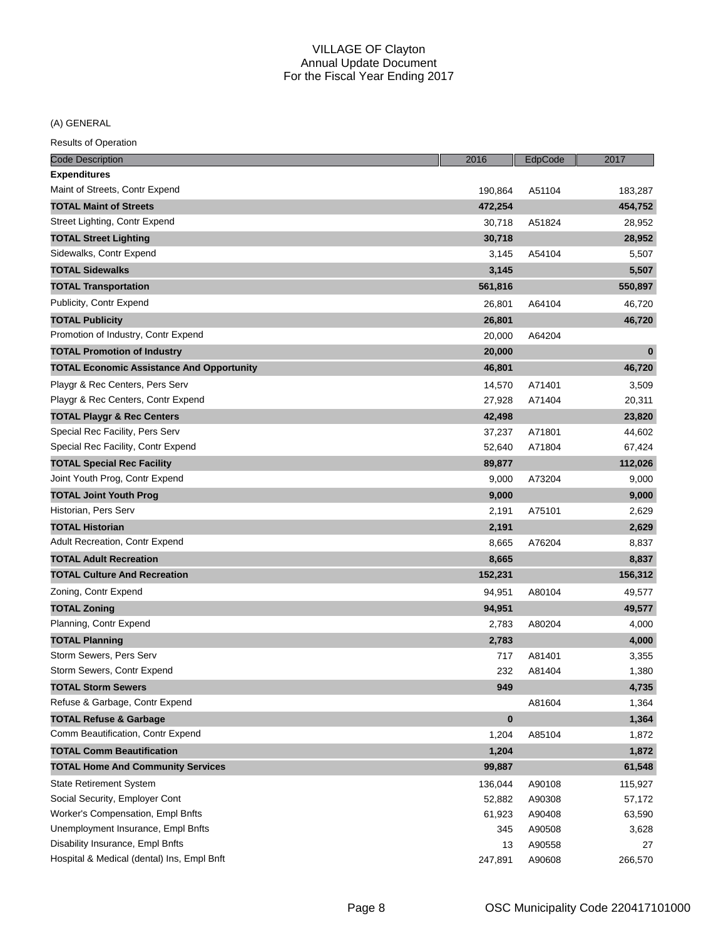(A) GENERAL

| <b>Code Description</b>                          | 2016     | EdpCode | 2017     |
|--------------------------------------------------|----------|---------|----------|
| <b>Expenditures</b>                              |          |         |          |
| Maint of Streets, Contr Expend                   | 190,864  | A51104  | 183,287  |
| <b>TOTAL Maint of Streets</b>                    | 472,254  |         | 454,752  |
| Street Lighting, Contr Expend                    | 30,718   | A51824  | 28,952   |
| <b>TOTAL Street Lighting</b>                     | 30,718   |         | 28,952   |
| Sidewalks, Contr Expend                          | 3,145    | A54104  | 5,507    |
| <b>TOTAL Sidewalks</b>                           | 3,145    |         | 5,507    |
| <b>TOTAL Transportation</b>                      | 561,816  |         | 550,897  |
| Publicity, Contr Expend                          | 26,801   | A64104  | 46,720   |
| <b>TOTAL Publicity</b>                           | 26,801   |         | 46,720   |
| Promotion of Industry, Contr Expend              | 20,000   | A64204  |          |
| <b>TOTAL Promotion of Industry</b>               | 20,000   |         | $\bf{0}$ |
| <b>TOTAL Economic Assistance And Opportunity</b> | 46,801   |         | 46,720   |
| Playgr & Rec Centers, Pers Serv                  | 14,570   | A71401  | 3,509    |
| Playgr & Rec Centers, Contr Expend               | 27,928   | A71404  | 20,311   |
| <b>TOTAL Playgr &amp; Rec Centers</b>            | 42,498   |         | 23,820   |
| Special Rec Facility, Pers Serv                  | 37,237   | A71801  | 44,602   |
| Special Rec Facility, Contr Expend               | 52,640   | A71804  | 67,424   |
| <b>TOTAL Special Rec Facility</b>                | 89,877   |         | 112,026  |
| Joint Youth Prog, Contr Expend                   | 9,000    | A73204  | 9,000    |
| <b>TOTAL Joint Youth Prog</b>                    | 9,000    |         | 9,000    |
| Historian, Pers Serv                             | 2,191    | A75101  | 2,629    |
| <b>TOTAL Historian</b>                           | 2,191    |         | 2,629    |
| Adult Recreation, Contr Expend                   | 8,665    | A76204  | 8,837    |
| <b>TOTAL Adult Recreation</b>                    | 8,665    |         | 8,837    |
| <b>TOTAL Culture And Recreation</b>              | 152,231  |         | 156,312  |
| Zoning, Contr Expend                             | 94,951   | A80104  | 49,577   |
| <b>TOTAL Zoning</b>                              | 94,951   |         | 49,577   |
| Planning, Contr Expend                           | 2,783    | A80204  | 4,000    |
| <b>TOTAL Planning</b>                            | 2,783    |         | 4,000    |
| Storm Sewers, Pers Serv                          | 717      | A81401  | 3,355    |
| Storm Sewers, Contr Expend                       | 232      | A81404  | 1,380    |
| <b>TOTAL Storm Sewers</b>                        | 949      |         | 4,735    |
| Refuse & Garbage, Contr Expend                   |          | A81604  | 1,364    |
| <b>TOTAL Refuse &amp; Garbage</b>                | $\bf{0}$ |         | 1,364    |
| Comm Beautification, Contr Expend                | 1,204    | A85104  | 1,872    |
| <b>TOTAL Comm Beautification</b>                 | 1,204    |         | 1,872    |
| <b>TOTAL Home And Community Services</b>         | 99,887   |         | 61,548   |
| <b>State Retirement System</b>                   | 136,044  | A90108  | 115,927  |
| Social Security, Employer Cont                   | 52,882   | A90308  | 57,172   |
| Worker's Compensation, Empl Bnfts                | 61,923   | A90408  | 63,590   |
| Unemployment Insurance, Empl Bnfts               | 345      | A90508  | 3,628    |
| Disability Insurance, Empl Bnfts                 | 13       | A90558  | 27       |
| Hospital & Medical (dental) Ins, Empl Bnft       | 247,891  | A90608  | 266,570  |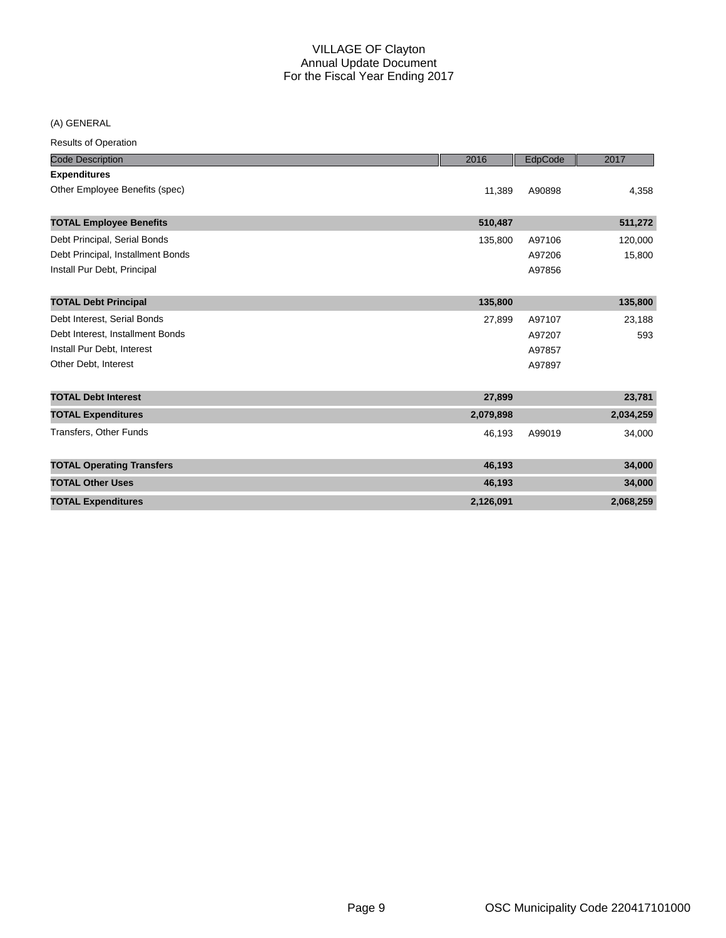(A) GENERAL

| <b>Results of Operation</b>       |           |         |           |
|-----------------------------------|-----------|---------|-----------|
| <b>Code Description</b>           | 2016      | EdpCode | 2017      |
| <b>Expenditures</b>               |           |         |           |
| Other Employee Benefits (spec)    | 11,389    | A90898  | 4,358     |
| <b>TOTAL Employee Benefits</b>    | 510,487   |         | 511,272   |
| Debt Principal, Serial Bonds      | 135,800   | A97106  | 120,000   |
| Debt Principal, Installment Bonds |           | A97206  | 15,800    |
| Install Pur Debt, Principal       |           | A97856  |           |
| <b>TOTAL Debt Principal</b>       | 135,800   |         | 135,800   |
| Debt Interest, Serial Bonds       | 27,899    | A97107  | 23,188    |
| Debt Interest, Installment Bonds  |           | A97207  | 593       |
| Install Pur Debt, Interest        |           | A97857  |           |
| Other Debt, Interest              |           | A97897  |           |
| <b>TOTAL Debt Interest</b>        | 27,899    |         | 23,781    |
| <b>TOTAL Expenditures</b>         | 2,079,898 |         | 2,034,259 |
| <b>Transfers, Other Funds</b>     | 46,193    | A99019  | 34,000    |
| <b>TOTAL Operating Transfers</b>  | 46,193    |         | 34,000    |
| <b>TOTAL Other Uses</b>           | 46,193    |         | 34,000    |
| <b>TOTAL Expenditures</b>         | 2,126,091 |         | 2,068,259 |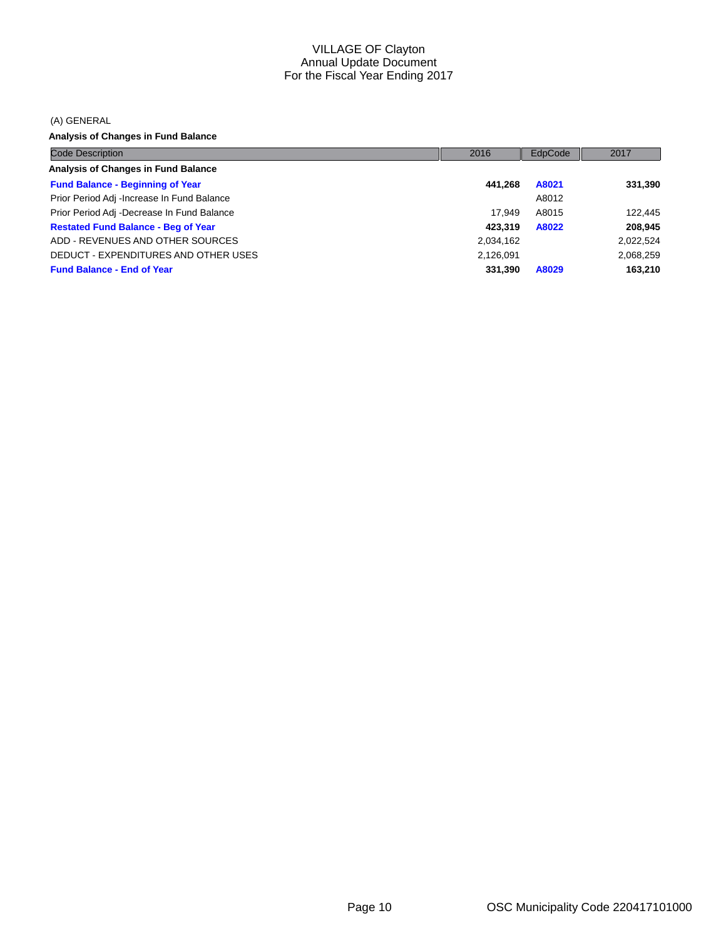(A) GENERAL

**Analysis of Changes in Fund Balance**

| <b>Code Description</b>                     | 2016      | EdpCode | 2017      |
|---------------------------------------------|-----------|---------|-----------|
| Analysis of Changes in Fund Balance         |           |         |           |
| <b>Fund Balance - Beginning of Year</b>     | 441.268   | A8021   | 331,390   |
| Prior Period Adj - Increase In Fund Balance |           | A8012   |           |
| Prior Period Adj -Decrease In Fund Balance  | 17.949    | A8015   | 122,445   |
| <b>Restated Fund Balance - Beg of Year</b>  | 423.319   | A8022   | 208,945   |
| ADD - REVENUES AND OTHER SOURCES            | 2,034,162 |         | 2,022,524 |
| DEDUCT - EXPENDITURES AND OTHER USES        | 2,126,091 |         | 2,068,259 |
| <b>Fund Balance - End of Year</b>           | 331,390   | A8029   | 163,210   |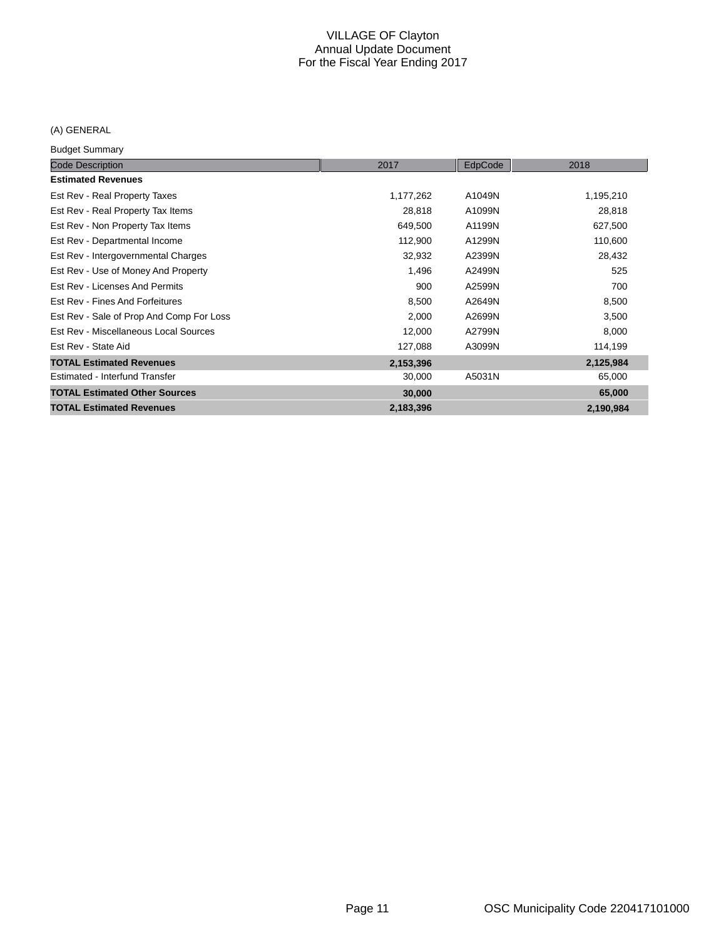## (A) GENERAL

Budget Summary

| <b>Code Description</b>                  | 2017      | EdpCode | 2018      |
|------------------------------------------|-----------|---------|-----------|
| <b>Estimated Revenues</b>                |           |         |           |
| Est Rev - Real Property Taxes            | 1,177,262 | A1049N  | 1,195,210 |
| Est Rev - Real Property Tax Items        | 28,818    | A1099N  | 28,818    |
| Est Rev - Non Property Tax Items         | 649,500   | A1199N  | 627,500   |
| Est Rev - Departmental Income            | 112,900   | A1299N  | 110,600   |
| Est Rev - Intergovernmental Charges      | 32,932    | A2399N  | 28,432    |
| Est Rev - Use of Money And Property      | 1,496     | A2499N  | 525       |
| Est Rev - Licenses And Permits           | 900       | A2599N  | 700       |
| Est Rev - Fines And Forfeitures          | 8,500     | A2649N  | 8,500     |
| Est Rev - Sale of Prop And Comp For Loss | 2,000     | A2699N  | 3,500     |
| Est Rev - Miscellaneous Local Sources    | 12,000    | A2799N  | 8,000     |
| Est Rev - State Aid                      | 127,088   | A3099N  | 114,199   |
| <b>TOTAL Estimated Revenues</b>          | 2,153,396 |         | 2,125,984 |
| Estimated - Interfund Transfer           | 30,000    | A5031N  | 65,000    |
| <b>TOTAL Estimated Other Sources</b>     | 30,000    |         | 65,000    |
| <b>TOTAL Estimated Revenues</b>          | 2,183,396 |         | 2,190,984 |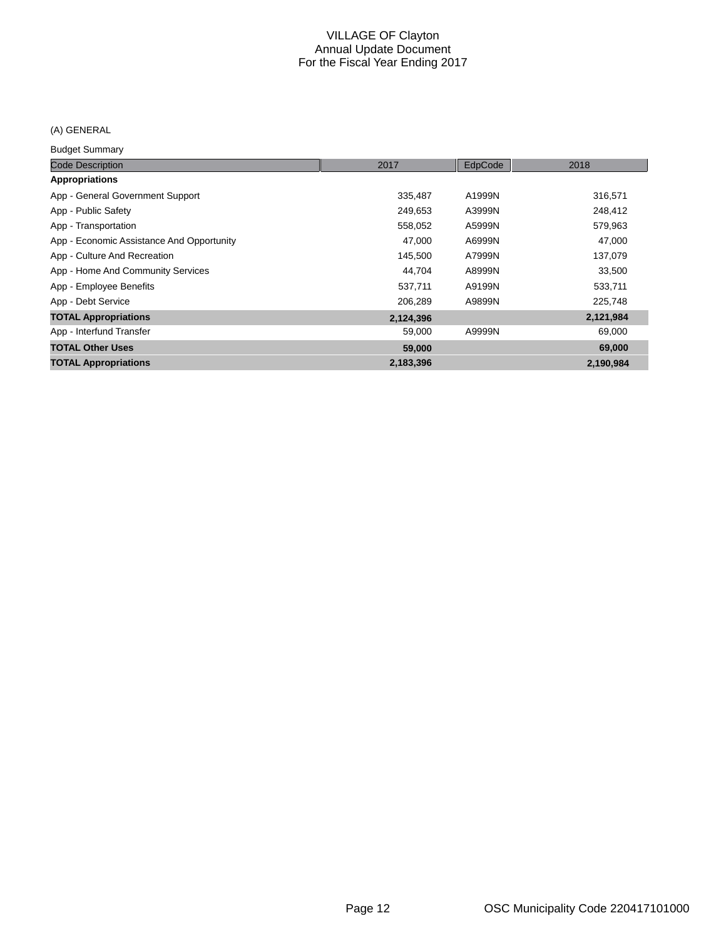## (A) GENERAL

Budget Summary

| <b>Code Description</b>                   | 2017      | EdpCode | 2018      |
|-------------------------------------------|-----------|---------|-----------|
| Appropriations                            |           |         |           |
| App - General Government Support          | 335,487   | A1999N  | 316,571   |
| App - Public Safety                       | 249.653   | A3999N  | 248,412   |
| App - Transportation                      | 558,052   | A5999N  | 579,963   |
| App - Economic Assistance And Opportunity | 47,000    | A6999N  | 47,000    |
| App - Culture And Recreation              | 145,500   | A7999N  | 137,079   |
| App - Home And Community Services         | 44,704    | A8999N  | 33,500    |
| App - Employee Benefits                   | 537,711   | A9199N  | 533,711   |
| App - Debt Service                        | 206,289   | A9899N  | 225,748   |
| <b>TOTAL Appropriations</b>               | 2,124,396 |         | 2,121,984 |
| App - Interfund Transfer                  | 59,000    | A9999N  | 69,000    |
| <b>TOTAL Other Uses</b>                   | 59,000    |         | 69,000    |
| <b>TOTAL Appropriations</b>               | 2,183,396 |         | 2,190,984 |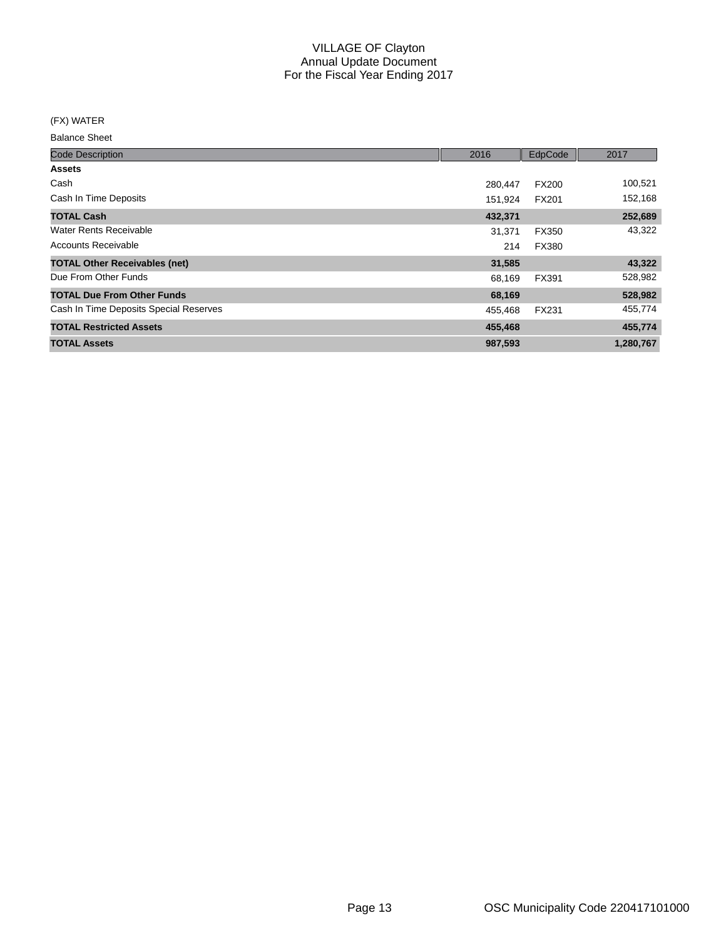(FX) WATER

| <b>Code Description</b>                | 2016    | EdpCode      | 2017      |
|----------------------------------------|---------|--------------|-----------|
| <b>Assets</b>                          |         |              |           |
| Cash                                   | 280,447 | <b>FX200</b> | 100,521   |
| Cash In Time Deposits                  | 151,924 | FX201        | 152,168   |
| <b>TOTAL Cash</b>                      | 432,371 |              | 252,689   |
| Water Rents Receivable                 | 31,371  | FX350        | 43,322    |
| <b>Accounts Receivable</b>             | 214     | <b>FX380</b> |           |
| <b>TOTAL Other Receivables (net)</b>   | 31,585  |              | 43,322    |
| Due From Other Funds                   | 68,169  | FX391        | 528,982   |
| <b>TOTAL Due From Other Funds</b>      | 68,169  |              | 528,982   |
| Cash In Time Deposits Special Reserves | 455,468 | <b>FX231</b> | 455,774   |
| <b>TOTAL Restricted Assets</b>         | 455,468 |              | 455,774   |
| <b>TOTAL Assets</b>                    | 987,593 |              | 1,280,767 |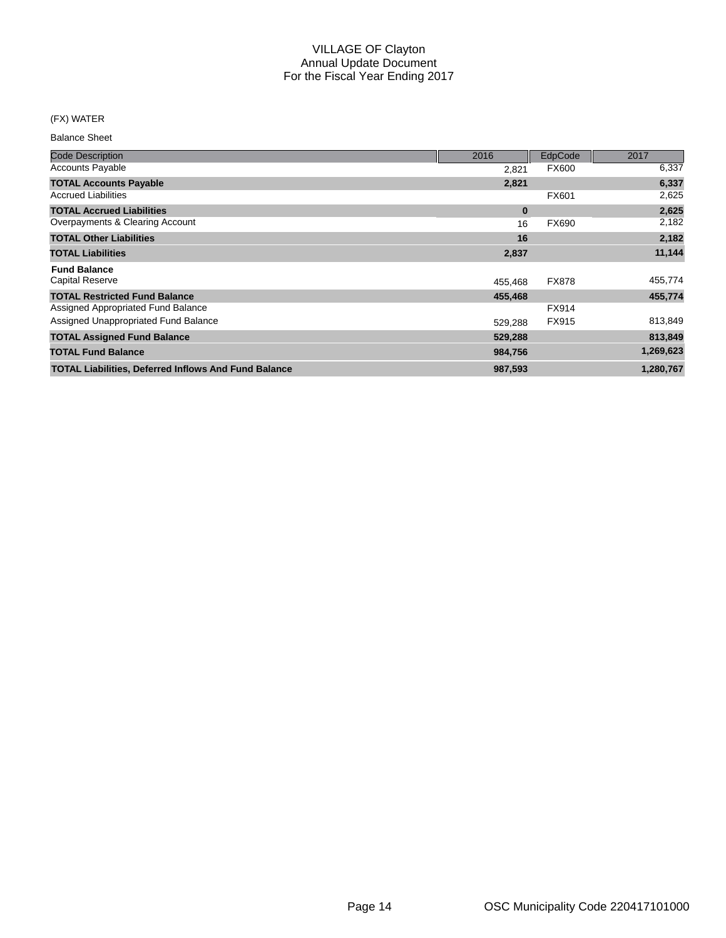#### (FX) WATER

| <b>Code Description</b>                                     | 2016     | EdpCode      | 2017      |
|-------------------------------------------------------------|----------|--------------|-----------|
| <b>Accounts Payable</b>                                     | 2,821    | <b>FX600</b> | 6,337     |
| <b>TOTAL Accounts Payable</b>                               | 2,821    |              | 6,337     |
| <b>Accrued Liabilities</b>                                  |          | <b>FX601</b> | 2,625     |
| <b>TOTAL Accrued Liabilities</b>                            | $\bf{0}$ |              | 2,625     |
| Overpayments & Clearing Account                             | 16       | FX690        | 2,182     |
| <b>TOTAL Other Liabilities</b>                              | 16       |              | 2,182     |
| <b>TOTAL Liabilities</b>                                    | 2,837    |              | 11,144    |
| <b>Fund Balance</b>                                         |          |              |           |
| <b>Capital Reserve</b>                                      | 455,468  | <b>FX878</b> | 455,774   |
| <b>TOTAL Restricted Fund Balance</b>                        | 455,468  |              | 455,774   |
| Assigned Appropriated Fund Balance                          |          | FX914        |           |
| Assigned Unappropriated Fund Balance                        | 529,288  | FX915        | 813,849   |
| <b>TOTAL Assigned Fund Balance</b>                          | 529,288  |              | 813,849   |
| <b>TOTAL Fund Balance</b>                                   | 984,756  |              | 1,269,623 |
| <b>TOTAL Liabilities, Deferred Inflows And Fund Balance</b> | 987,593  |              | 1,280,767 |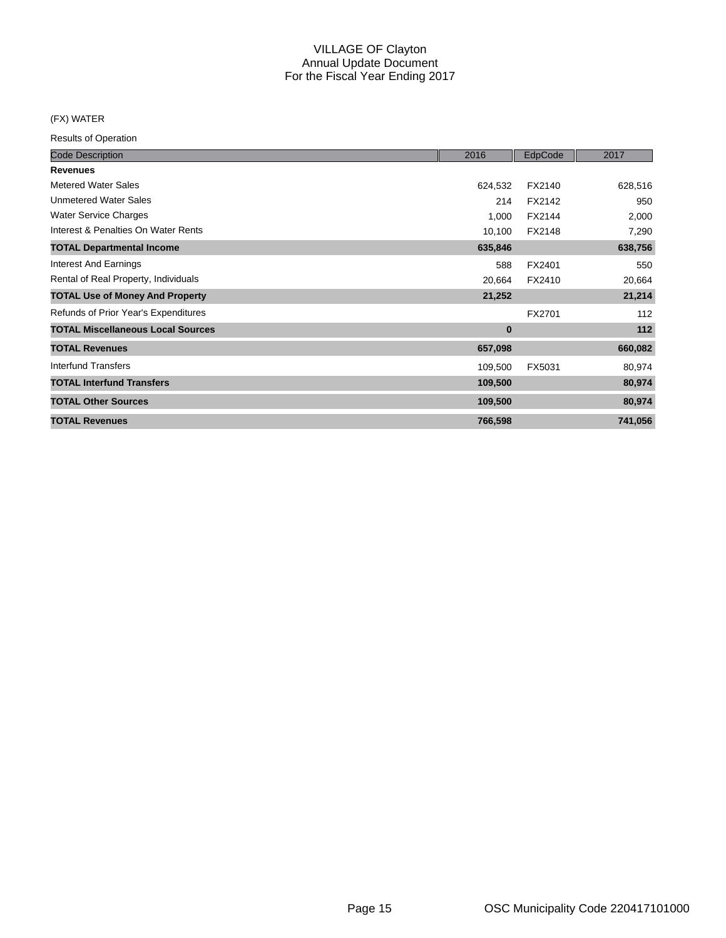#### (FX) WATER

| <b>Code Description</b>                  | 2016     | EdpCode | 2017    |
|------------------------------------------|----------|---------|---------|
| <b>Revenues</b>                          |          |         |         |
| <b>Metered Water Sales</b>               | 624,532  | FX2140  | 628,516 |
| <b>Unmetered Water Sales</b>             | 214      | FX2142  | 950     |
| <b>Water Service Charges</b>             | 1,000    | FX2144  | 2,000   |
| Interest & Penalties On Water Rents      | 10,100   | FX2148  | 7,290   |
| <b>TOTAL Departmental Income</b>         | 635,846  |         | 638,756 |
| <b>Interest And Earnings</b>             | 588      | FX2401  | 550     |
| Rental of Real Property, Individuals     | 20,664   | FX2410  | 20,664  |
| <b>TOTAL Use of Money And Property</b>   | 21,252   |         | 21,214  |
| Refunds of Prior Year's Expenditures     |          | FX2701  | 112     |
| <b>TOTAL Miscellaneous Local Sources</b> | $\bf{0}$ |         | 112     |
| <b>TOTAL Revenues</b>                    | 657,098  |         | 660,082 |
| Interfund Transfers                      | 109,500  | FX5031  | 80,974  |
| <b>TOTAL Interfund Transfers</b>         | 109,500  |         | 80,974  |
| <b>TOTAL Other Sources</b>               | 109,500  |         | 80,974  |
| <b>TOTAL Revenues</b>                    | 766,598  |         | 741,056 |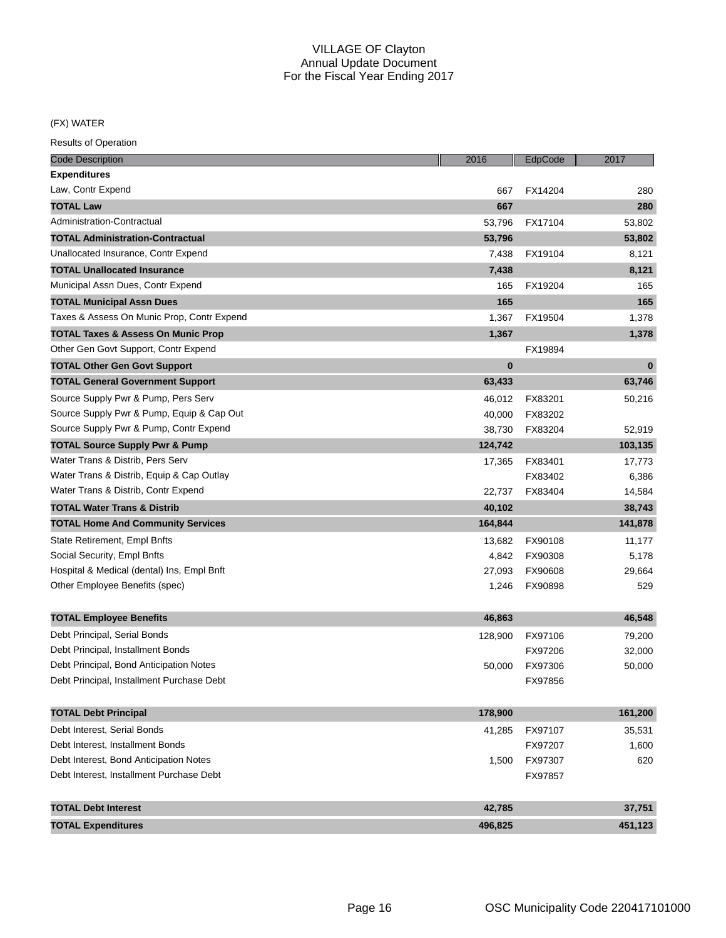(FX) WATER

| <b>Code Description</b>                       | 2016     | EdpCode | 2017     |
|-----------------------------------------------|----------|---------|----------|
| Expenditures                                  |          |         |          |
| Law, Contr Expend                             | 667      | FX14204 | 280      |
| <b>TOTAL Law</b>                              | 667      |         | 280      |
| Administration-Contractual                    | 53,796   | FX17104 | 53,802   |
| <b>TOTAL Administration-Contractual</b>       | 53,796   |         | 53,802   |
| Unallocated Insurance, Contr Expend           | 7,438    | FX19104 | 8,121    |
| <b>TOTAL Unallocated Insurance</b>            | 7,438    |         | 8,121    |
| Municipal Assn Dues, Contr Expend             | 165      | FX19204 | 165      |
| <b>TOTAL Municipal Assn Dues</b>              | 165      |         | 165      |
| Taxes & Assess On Munic Prop, Contr Expend    | 1,367    | FX19504 | 1,378    |
| <b>TOTAL Taxes &amp; Assess On Munic Prop</b> | 1,367    |         | 1,378    |
| Other Gen Govt Support, Contr Expend          |          | FX19894 |          |
| <b>TOTAL Other Gen Govt Support</b>           | $\bf{0}$ |         | $\bf{0}$ |
| <b>TOTAL General Government Support</b>       | 63,433   |         | 63,746   |
| Source Supply Pwr & Pump, Pers Serv           | 46,012   | FX83201 | 50,216   |
| Source Supply Pwr & Pump, Equip & Cap Out     | 40,000   | FX83202 |          |
| Source Supply Pwr & Pump, Contr Expend        | 38,730   | FX83204 | 52,919   |
| <b>TOTAL Source Supply Pwr &amp; Pump</b>     | 124,742  |         | 103,135  |
| Water Trans & Distrib, Pers Serv              | 17,365   | FX83401 | 17,773   |
| Water Trans & Distrib, Equip & Cap Outlay     |          | FX83402 | 6,386    |
| Water Trans & Distrib, Contr Expend           | 22,737   | FX83404 | 14,584   |
| <b>TOTAL Water Trans &amp; Distrib</b>        | 40,102   |         | 38,743   |
| <b>TOTAL Home And Community Services</b>      | 164,844  |         | 141,878  |
| State Retirement, Empl Bnfts                  | 13,682   | FX90108 | 11,177   |
| Social Security, Empl Bnfts                   | 4,842    | FX90308 | 5,178    |
| Hospital & Medical (dental) Ins, Empl Bnft    | 27,093   | FX90608 | 29,664   |
| Other Employee Benefits (spec)                | 1,246    | FX90898 | 529      |
|                                               |          |         |          |
| <b>TOTAL Employee Benefits</b>                | 46,863   |         | 46,548   |
| Debt Principal, Serial Bonds                  | 128,900  | FX97106 | 79,200   |
| Debt Principal, Installment Bonds             |          | FX97206 | 32,000   |
| Debt Principal, Bond Anticipation Notes       | 50,000   | FX97306 | 50,000   |
| Debt Principal, Installment Purchase Debt     |          | FX97856 |          |
| <b>TOTAL Debt Principal</b>                   | 178,900  |         | 161,200  |
| Debt Interest, Serial Bonds                   | 41,285   | FX97107 | 35,531   |
| Debt Interest, Installment Bonds              |          | FX97207 | 1,600    |
| Debt Interest, Bond Anticipation Notes        | 1,500    | FX97307 | 620      |
| Debt Interest, Installment Purchase Debt      |          | FX97857 |          |
| <b>TOTAL Debt Interest</b>                    | 42,785   |         | 37,751   |
| <b>TOTAL Expenditures</b>                     | 496,825  |         | 451,123  |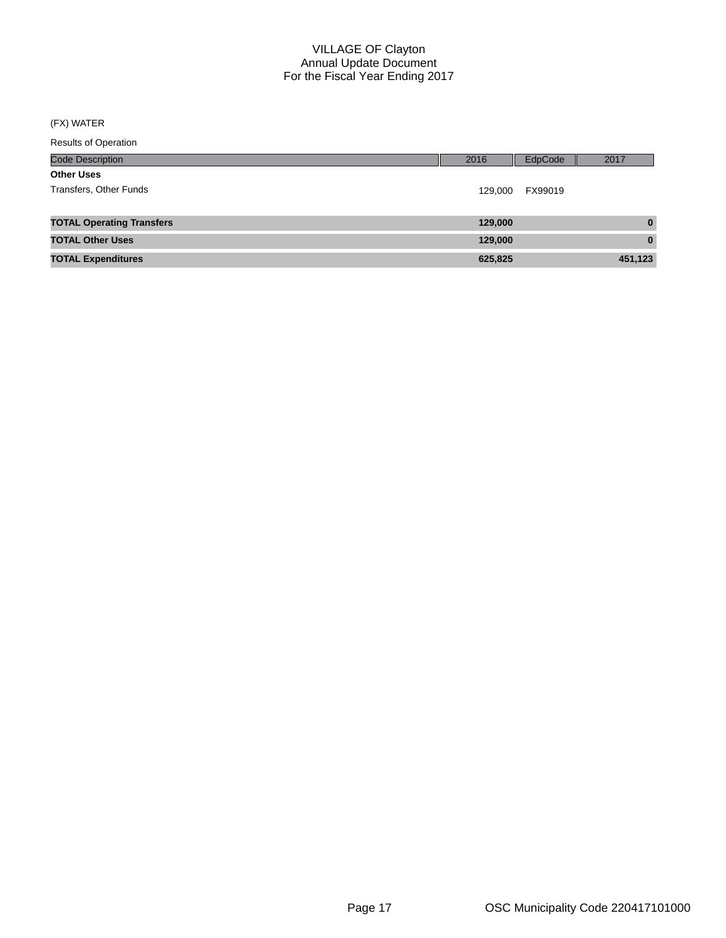## (FX) WATER

| 2016 | EdpCode | 2017    |
|------|---------|---------|
|      |         |         |
|      | FX99019 |         |
|      |         |         |
|      |         | 129,000 |

| <b>TOTAL Operating Transfers</b> | 129,000 |         |
|----------------------------------|---------|---------|
| <b>TOTAL Other Uses</b>          | 129,000 |         |
| <b>TOTAL Expenditures</b>        | 625,825 | 451,123 |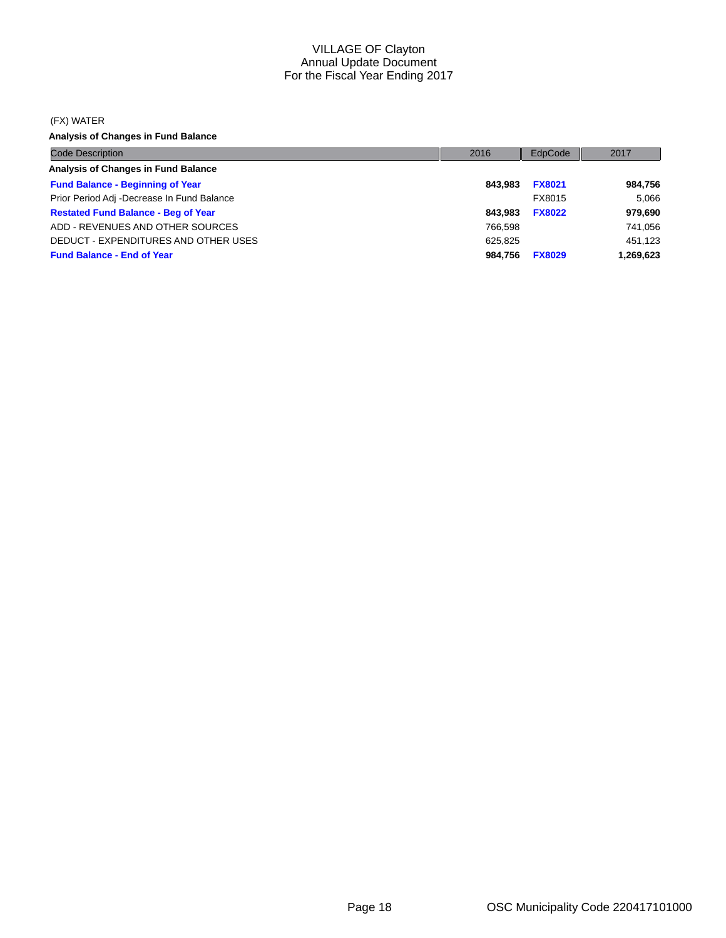#### (FX) WATER

**Analysis of Changes in Fund Balance**

| <b>Code Description</b>                    | 2016    | EdpCode       | 2017      |
|--------------------------------------------|---------|---------------|-----------|
| Analysis of Changes in Fund Balance        |         |               |           |
| <b>Fund Balance - Beginning of Year</b>    | 843.983 | <b>FX8021</b> | 984,756   |
| Prior Period Adj -Decrease In Fund Balance |         | FX8015        | 5.066     |
| <b>Restated Fund Balance - Beg of Year</b> | 843.983 | <b>FX8022</b> | 979,690   |
| ADD - REVENUES AND OTHER SOURCES           | 766.598 |               | 741,056   |
| DEDUCT - EXPENDITURES AND OTHER USES       | 625.825 |               | 451.123   |
| <b>Fund Balance - End of Year</b>          | 984.756 | <b>FX8029</b> | 1,269,623 |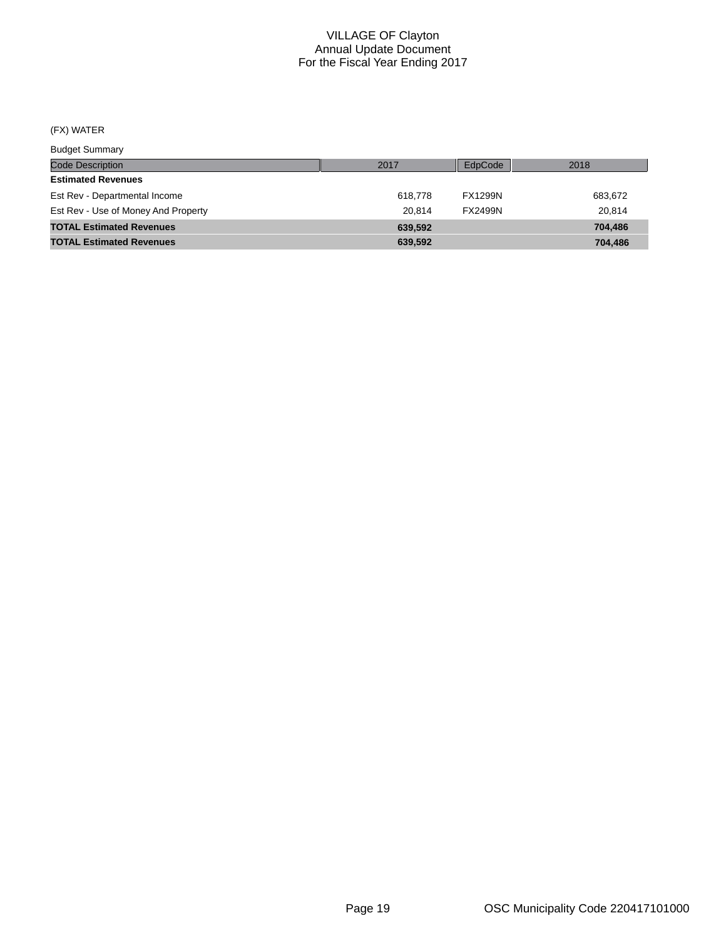## (FX) WATER

Budget Summary

| $-$                                 |         |                |         |
|-------------------------------------|---------|----------------|---------|
| <b>Code Description</b>             | 2017    | EdpCode        | 2018    |
| <b>Estimated Revenues</b>           |         |                |         |
| Est Rev - Departmental Income       | 618.778 | <b>FX1299N</b> | 683,672 |
| Est Rev - Use of Money And Property | 20.814  | <b>FX2499N</b> | 20.814  |
| <b>TOTAL Estimated Revenues</b>     | 639.592 |                | 704.486 |
| <b>TOTAL Estimated Revenues</b>     | 639.592 |                | 704.486 |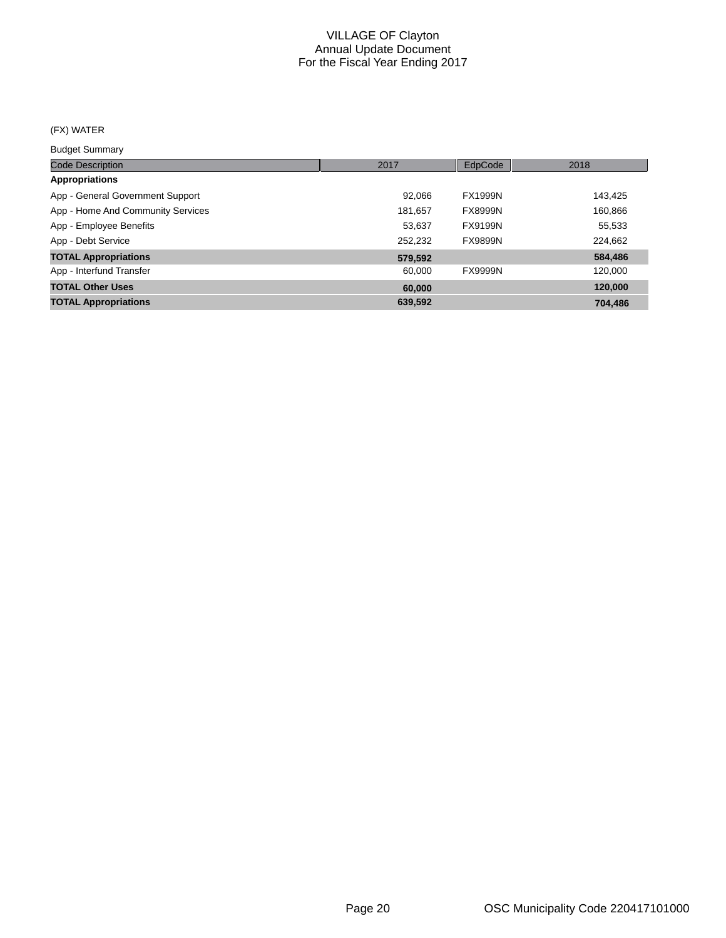## (FX) WATER

Budget Summary

| 2017    | EdpCode        | 2018    |
|---------|----------------|---------|
|         |                |         |
| 92,066  | <b>FX1999N</b> | 143,425 |
| 181.657 | <b>FX8999N</b> | 160,866 |
| 53.637  | <b>FX9199N</b> | 55,533  |
| 252.232 | <b>FX9899N</b> | 224,662 |
| 579,592 |                | 584,486 |
| 60.000  | <b>FX9999N</b> | 120,000 |
| 60,000  |                | 120,000 |
| 639,592 |                | 704.486 |
|         |                |         |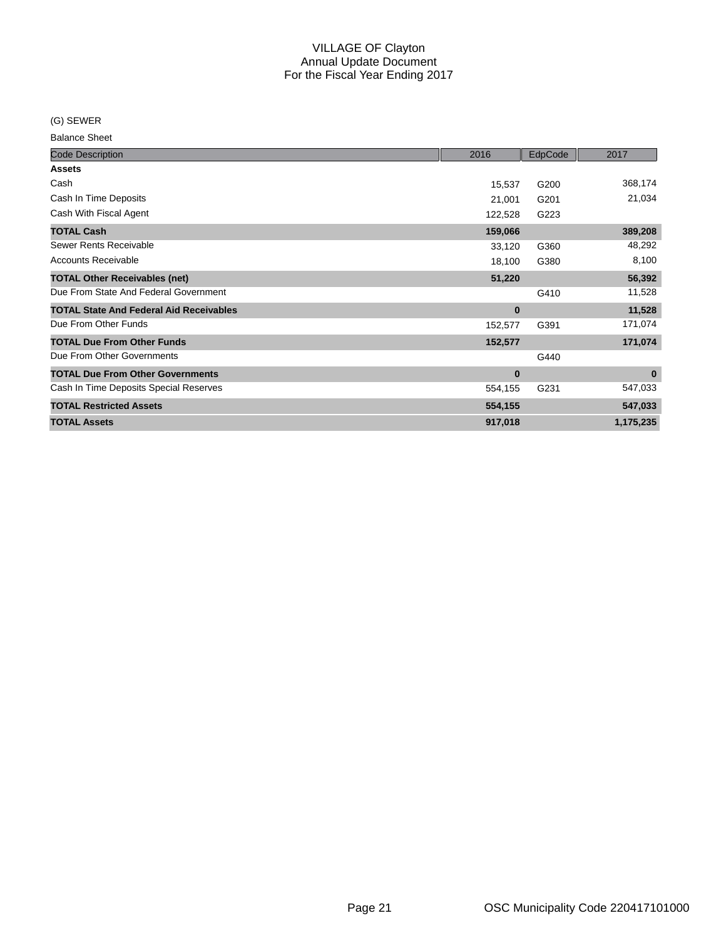(G) SEWER

| <b>Code Description</b>                        | 2016     | EdpCode | 2017      |
|------------------------------------------------|----------|---------|-----------|
| <b>Assets</b>                                  |          |         |           |
| Cash                                           | 15,537   | G200    | 368,174   |
| Cash In Time Deposits                          | 21,001   | G201    | 21,034    |
| Cash With Fiscal Agent                         | 122,528  | G223    |           |
| <b>TOTAL Cash</b>                              | 159,066  |         | 389,208   |
| Sewer Rents Receivable                         | 33,120   | G360    | 48,292    |
| <b>Accounts Receivable</b>                     | 18,100   | G380    | 8,100     |
| <b>TOTAL Other Receivables (net)</b>           | 51,220   |         | 56,392    |
| Due From State And Federal Government          |          | G410    | 11,528    |
| <b>TOTAL State And Federal Aid Receivables</b> | $\bf{0}$ |         | 11,528    |
| Due From Other Funds                           | 152,577  | G391    | 171,074   |
| <b>TOTAL Due From Other Funds</b>              | 152,577  |         | 171,074   |
| Due From Other Governments                     |          | G440    |           |
| <b>TOTAL Due From Other Governments</b>        | $\bf{0}$ |         | $\bf{0}$  |
| Cash In Time Deposits Special Reserves         | 554,155  | G231    | 547,033   |
| <b>TOTAL Restricted Assets</b>                 | 554,155  |         | 547,033   |
| <b>TOTAL Assets</b>                            | 917,018  |         | 1,175,235 |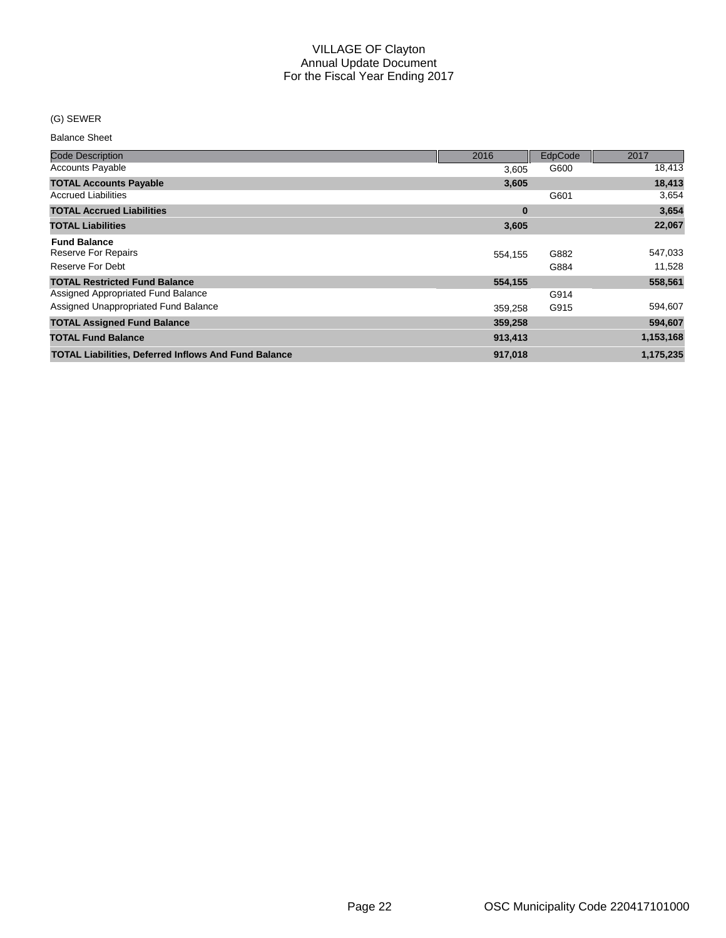#### (G) SEWER

| <b>Code Description</b>                                     | 2016     | EdpCode | 2017      |
|-------------------------------------------------------------|----------|---------|-----------|
| <b>Accounts Payable</b>                                     | 3,605    | G600    | 18,413    |
| <b>TOTAL Accounts Payable</b>                               | 3,605    |         | 18,413    |
| <b>Accrued Liabilities</b>                                  |          | G601    | 3,654     |
| <b>TOTAL Accrued Liabilities</b>                            | $\bf{0}$ |         | 3,654     |
| <b>TOTAL Liabilities</b>                                    | 3,605    |         | 22,067    |
| <b>Fund Balance</b><br>Reserve For Repairs                  | 554,155  | G882    | 547,033   |
| Reserve For Debt                                            |          | G884    | 11,528    |
| <b>TOTAL Restricted Fund Balance</b>                        | 554,155  |         | 558,561   |
| Assigned Appropriated Fund Balance                          |          | G914    |           |
| Assigned Unappropriated Fund Balance                        | 359,258  | G915    | 594,607   |
| <b>TOTAL Assigned Fund Balance</b>                          | 359,258  |         | 594,607   |
| <b>TOTAL Fund Balance</b>                                   | 913,413  |         | 1,153,168 |
| <b>TOTAL Liabilities, Deferred Inflows And Fund Balance</b> | 917,018  |         | 1,175,235 |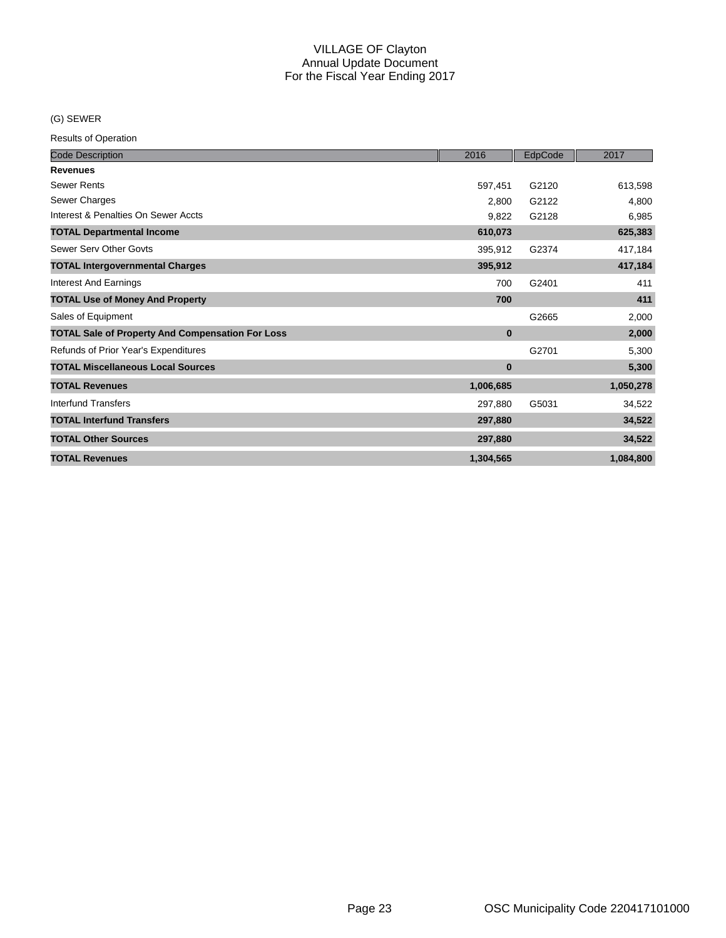#### (G) SEWER

| <b>Code Description</b>                                 | 2016      | EdpCode | 2017      |
|---------------------------------------------------------|-----------|---------|-----------|
| <b>Revenues</b>                                         |           |         |           |
| <b>Sewer Rents</b>                                      | 597,451   | G2120   | 613,598   |
| Sewer Charges                                           | 2,800     | G2122   | 4,800     |
| Interest & Penalties On Sewer Accts                     | 9,822     | G2128   | 6,985     |
| <b>TOTAL Departmental Income</b>                        | 610,073   |         | 625,383   |
| Sewer Serv Other Govts                                  | 395,912   | G2374   | 417,184   |
| <b>TOTAL Intergovernmental Charges</b>                  | 395,912   |         | 417,184   |
| <b>Interest And Earnings</b>                            | 700       | G2401   | 411       |
| <b>TOTAL Use of Money And Property</b>                  | 700       |         | 411       |
| Sales of Equipment                                      |           | G2665   | 2,000     |
| <b>TOTAL Sale of Property And Compensation For Loss</b> | $\bf{0}$  |         | 2,000     |
| Refunds of Prior Year's Expenditures                    |           | G2701   | 5,300     |
| <b>TOTAL Miscellaneous Local Sources</b>                | $\bf{0}$  |         | 5,300     |
| <b>TOTAL Revenues</b>                                   | 1,006,685 |         | 1,050,278 |
| Interfund Transfers                                     | 297,880   | G5031   | 34,522    |
| <b>TOTAL Interfund Transfers</b>                        | 297,880   |         | 34,522    |
| <b>TOTAL Other Sources</b>                              | 297,880   |         | 34,522    |
| <b>TOTAL Revenues</b>                                   | 1,304,565 |         | 1,084,800 |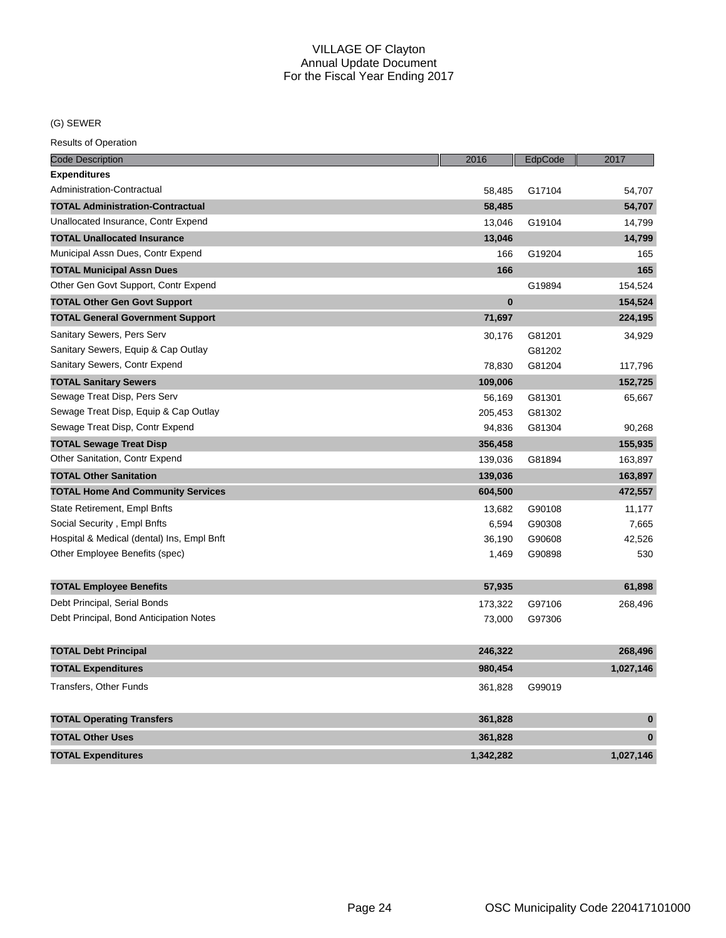## (G) SEWER

| <b>Code Description</b>                    | 2016      | EdpCode | 2017      |
|--------------------------------------------|-----------|---------|-----------|
| <b>Expenditures</b>                        |           |         |           |
| Administration-Contractual                 | 58,485    | G17104  | 54,707    |
| <b>TOTAL Administration-Contractual</b>    | 58,485    |         | 54,707    |
| Unallocated Insurance, Contr Expend        | 13,046    | G19104  | 14,799    |
| <b>TOTAL Unallocated Insurance</b>         | 13,046    |         | 14,799    |
| Municipal Assn Dues, Contr Expend          | 166       | G19204  | 165       |
| <b>TOTAL Municipal Assn Dues</b>           | 166       |         | 165       |
| Other Gen Govt Support, Contr Expend       |           | G19894  | 154,524   |
| <b>TOTAL Other Gen Govt Support</b>        | $\bf{0}$  |         | 154,524   |
| <b>TOTAL General Government Support</b>    | 71,697    |         | 224,195   |
| Sanitary Sewers, Pers Serv                 | 30,176    | G81201  | 34,929    |
| Sanitary Sewers, Equip & Cap Outlay        |           | G81202  |           |
| Sanitary Sewers, Contr Expend              | 78,830    | G81204  | 117,796   |
| <b>TOTAL Sanitary Sewers</b>               | 109,006   |         | 152,725   |
| Sewage Treat Disp, Pers Serv               | 56,169    | G81301  | 65,667    |
| Sewage Treat Disp, Equip & Cap Outlay      | 205,453   | G81302  |           |
| Sewage Treat Disp, Contr Expend            | 94,836    | G81304  | 90,268    |
| <b>TOTAL Sewage Treat Disp</b>             | 356,458   |         | 155,935   |
| Other Sanitation, Contr Expend             | 139,036   | G81894  | 163,897   |
| <b>TOTAL Other Sanitation</b>              | 139,036   |         | 163,897   |
| <b>TOTAL Home And Community Services</b>   | 604,500   |         | 472,557   |
| State Retirement, Empl Bnfts               | 13,682    | G90108  | 11,177    |
| Social Security, Empl Bnfts                | 6,594     | G90308  | 7,665     |
| Hospital & Medical (dental) Ins, Empl Bnft | 36,190    | G90608  | 42,526    |
| Other Employee Benefits (spec)             | 1,469     | G90898  | 530       |
| <b>TOTAL Employee Benefits</b>             | 57,935    |         | 61,898    |
| Debt Principal, Serial Bonds               | 173,322   | G97106  | 268,496   |
| Debt Principal, Bond Anticipation Notes    | 73,000    | G97306  |           |
| <b>TOTAL Debt Principal</b>                | 246,322   |         | 268,496   |
| <b>TOTAL Expenditures</b>                  | 980,454   |         | 1,027,146 |
| <b>Transfers, Other Funds</b>              | 361,828   | G99019  |           |
| <b>TOTAL Operating Transfers</b>           | 361,828   |         | $\bf{0}$  |
| <b>TOTAL Other Uses</b>                    | 361,828   |         | $\bf{0}$  |
|                                            |           |         |           |
| <b>TOTAL Expenditures</b>                  | 1,342,282 |         | 1,027,146 |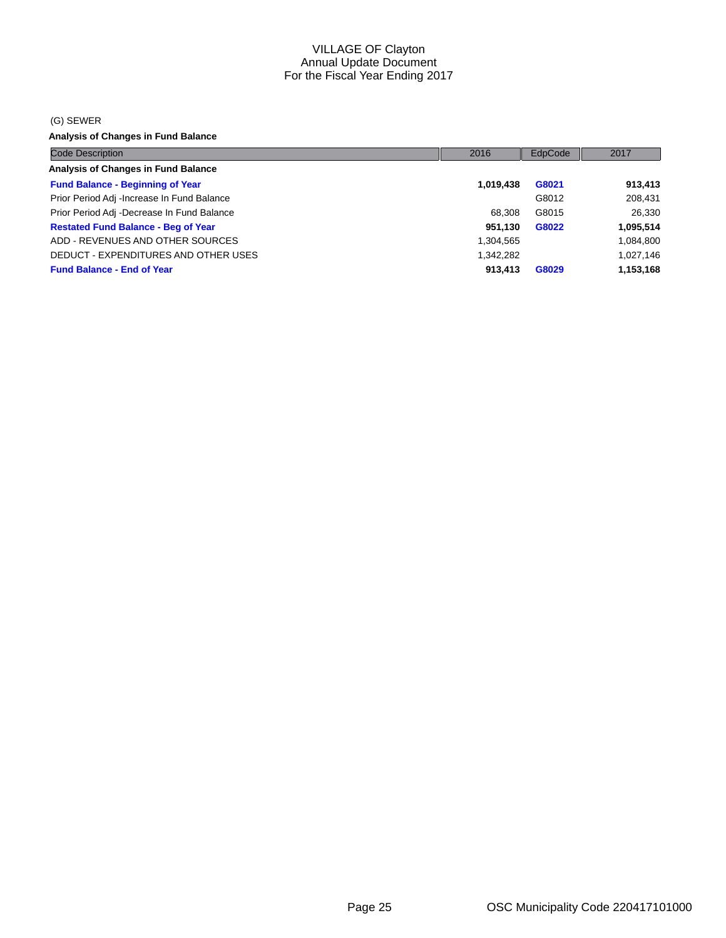#### (G) SEWER

**Analysis of Changes in Fund Balance**

| <b>Code Description</b>                     | 2016      | EdpCode | 2017      |
|---------------------------------------------|-----------|---------|-----------|
| <b>Analysis of Changes in Fund Balance</b>  |           |         |           |
| <b>Fund Balance - Beginning of Year</b>     | 1,019,438 | G8021   | 913,413   |
| Prior Period Adj - Increase In Fund Balance |           | G8012   | 208,431   |
| Prior Period Adj -Decrease In Fund Balance  | 68.308    | G8015   | 26,330    |
| <b>Restated Fund Balance - Beg of Year</b>  | 951.130   | G8022   | 1,095,514 |
| ADD - REVENUES AND OTHER SOURCES            | 1,304,565 |         | 1,084,800 |
| DEDUCT - EXPENDITURES AND OTHER USES        | 1,342,282 |         | 1,027,146 |
| <b>Fund Balance - End of Year</b>           | 913.413   | G8029   | 1,153,168 |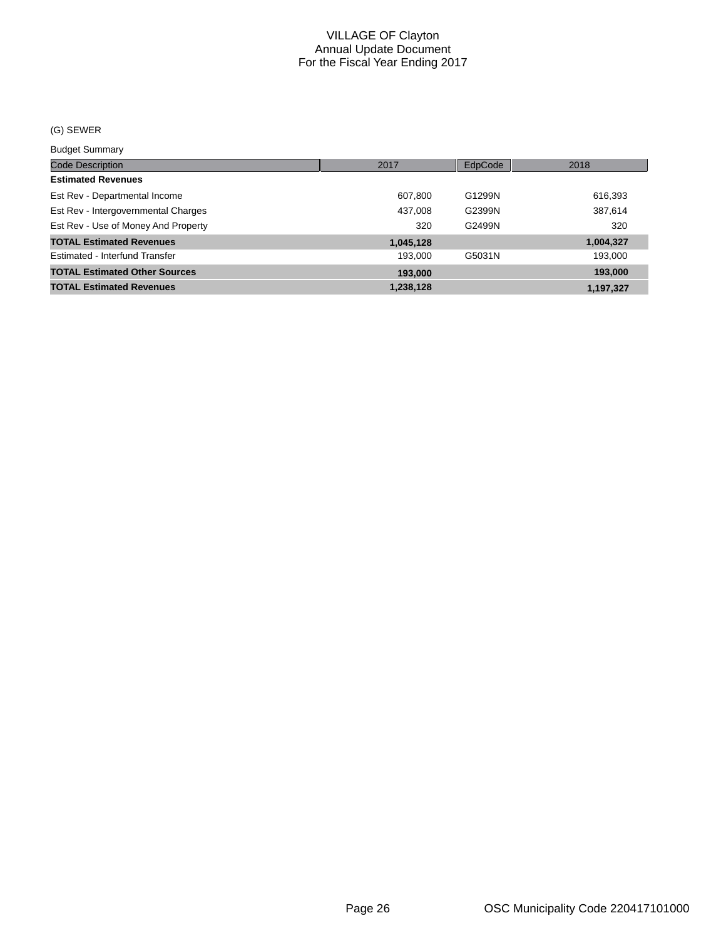#### (G) SEWER

Budget Summary

| ____________                         |           |         |           |
|--------------------------------------|-----------|---------|-----------|
| <b>Code Description</b>              | 2017      | EdpCode | 2018      |
| <b>Estimated Revenues</b>            |           |         |           |
| Est Rev - Departmental Income        | 607,800   | G1299N  | 616,393   |
| Est Rev - Intergovernmental Charges  | 437,008   | G2399N  | 387,614   |
| Est Rev - Use of Money And Property  | 320       | G2499N  | 320       |
| <b>TOTAL Estimated Revenues</b>      | 1,045,128 |         | 1,004,327 |
| Estimated - Interfund Transfer       | 193.000   | G5031N  | 193,000   |
| <b>TOTAL Estimated Other Sources</b> | 193,000   |         | 193,000   |
| <b>TOTAL Estimated Revenues</b>      | 1,238,128 |         | 1.197.327 |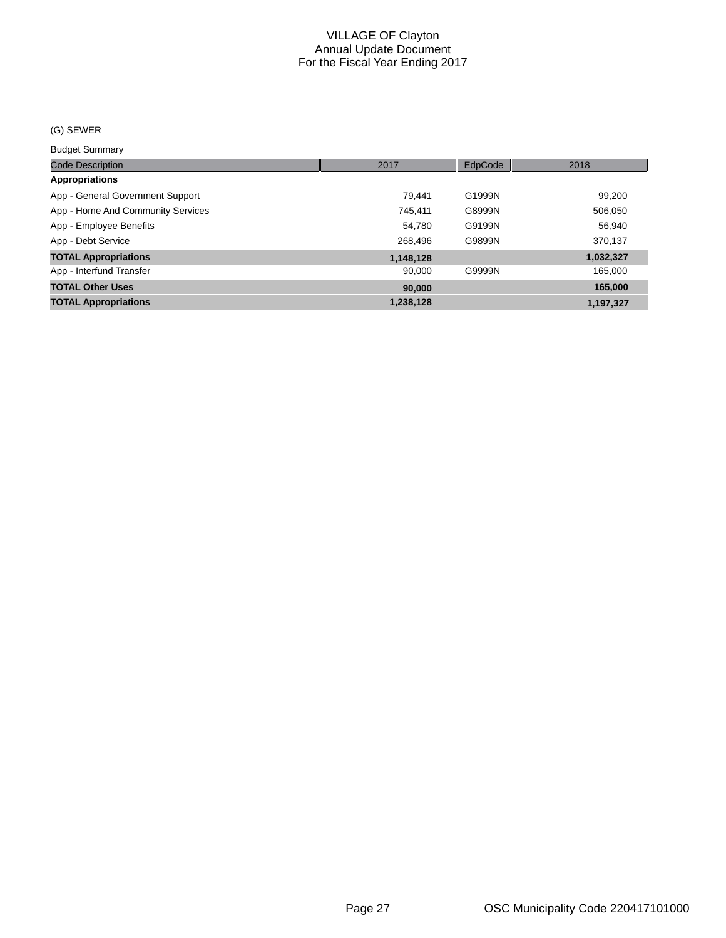#### (G) SEWER

Budget Summary

| <b>Code Description</b>           | 2017      | EdpCode | 2018      |
|-----------------------------------|-----------|---------|-----------|
| <b>Appropriations</b>             |           |         |           |
| App - General Government Support  | 79.441    | G1999N  | 99,200    |
| App - Home And Community Services | 745,411   | G8999N  | 506,050   |
| App - Employee Benefits           | 54.780    | G9199N  | 56,940    |
| App - Debt Service                | 268.496   | G9899N  | 370,137   |
| <b>TOTAL Appropriations</b>       | 1,148,128 |         | 1,032,327 |
| App - Interfund Transfer          | 90.000    | G9999N  | 165,000   |
| <b>TOTAL Other Uses</b>           | 90,000    |         | 165,000   |
| <b>TOTAL Appropriations</b>       | 1,238,128 |         | 1,197,327 |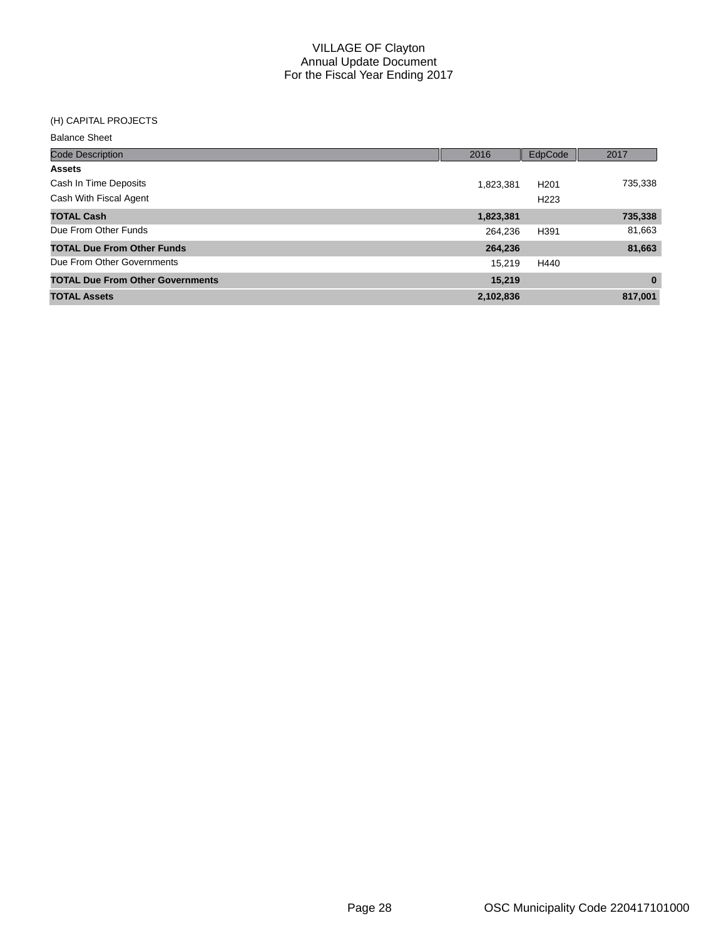#### (H) CAPITAL PROJECTS

| <b>Balance Sheet</b>                    |           |                  |          |
|-----------------------------------------|-----------|------------------|----------|
| <b>Code Description</b>                 | 2016      | EdpCode          | 2017     |
| <b>Assets</b>                           |           |                  |          |
| Cash In Time Deposits                   | 1,823,381 | H <sub>201</sub> | 735,338  |
| Cash With Fiscal Agent                  |           | H <sub>223</sub> |          |
| <b>TOTAL Cash</b>                       | 1,823,381 |                  | 735,338  |
| Due From Other Funds                    | 264.236   | H391             | 81,663   |
| <b>TOTAL Due From Other Funds</b>       | 264,236   |                  | 81,663   |
| Due From Other Governments              | 15.219    | H440             |          |
| <b>TOTAL Due From Other Governments</b> | 15,219    |                  | $\bf{0}$ |
| <b>TOTAL Assets</b>                     | 2,102,836 |                  | 817,001  |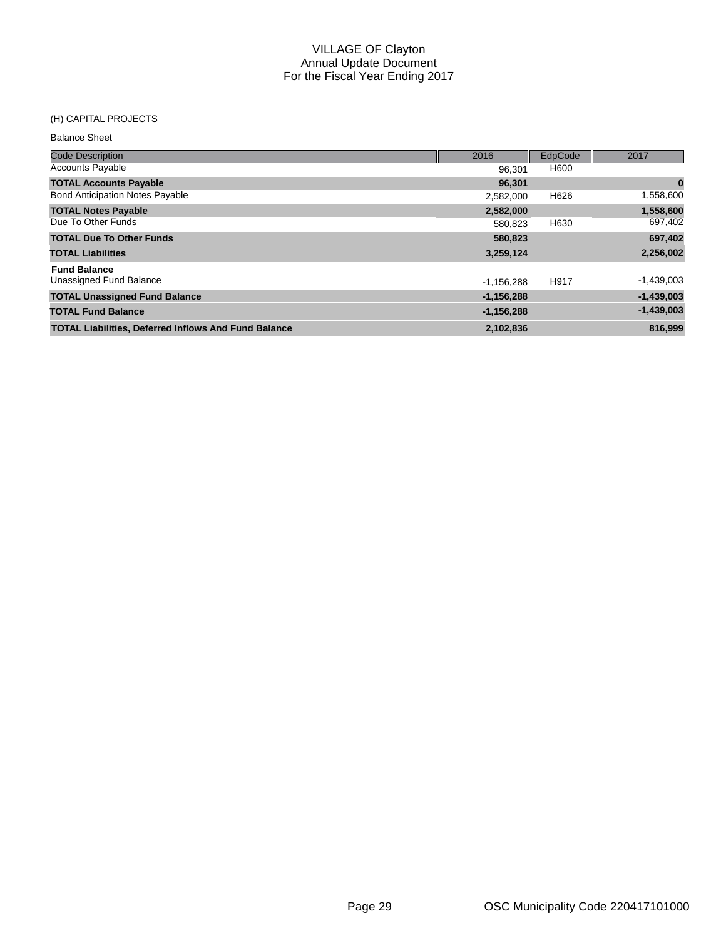## (H) CAPITAL PROJECTS

| <b>Code Description</b>                                     | 2016         | EdpCode | 2017         |
|-------------------------------------------------------------|--------------|---------|--------------|
| <b>Accounts Payable</b>                                     | 96.301       | H600    |              |
| <b>TOTAL Accounts Payable</b>                               | 96,301       |         | $\bf{0}$     |
| <b>Bond Anticipation Notes Payable</b>                      | 2,582,000    | H626    | 1,558,600    |
| <b>TOTAL Notes Payable</b>                                  | 2,582,000    |         | 1,558,600    |
| Due To Other Funds                                          | 580,823      | H630    | 697,402      |
| <b>TOTAL Due To Other Funds</b>                             | 580,823      |         | 697,402      |
| <b>TOTAL Liabilities</b>                                    | 3,259,124    |         | 2,256,002    |
| <b>Fund Balance</b>                                         |              |         |              |
| Unassigned Fund Balance                                     | $-1,156,288$ | H917    | $-1,439,003$ |
| <b>TOTAL Unassigned Fund Balance</b>                        | $-1,156,288$ |         | $-1,439,003$ |
| <b>TOTAL Fund Balance</b>                                   | $-1,156,288$ |         | $-1,439,003$ |
| <b>TOTAL Liabilities, Deferred Inflows And Fund Balance</b> | 2,102,836    |         | 816.999      |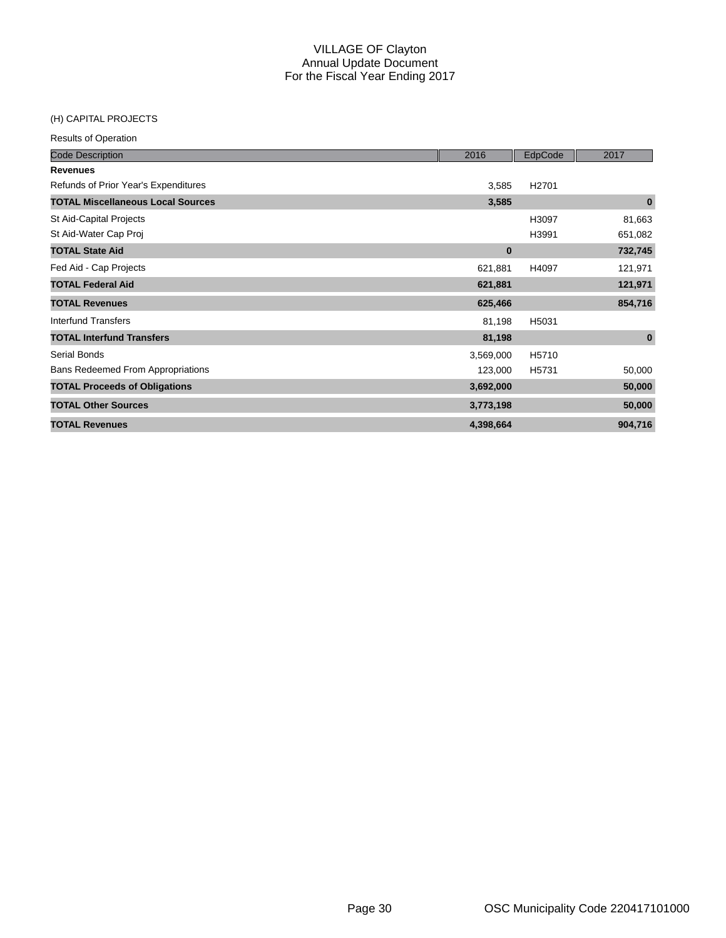#### (H) CAPITAL PROJECTS

| <b>Code Description</b>                  | 2016      | EdpCode           | 2017     |
|------------------------------------------|-----------|-------------------|----------|
| <b>Revenues</b>                          |           |                   |          |
| Refunds of Prior Year's Expenditures     | 3,585     | H <sub>2701</sub> |          |
| <b>TOTAL Miscellaneous Local Sources</b> | 3,585     |                   | $\bf{0}$ |
| St Aid-Capital Projects                  |           | H3097             | 81,663   |
| St Aid-Water Cap Proj                    |           | H3991             | 651,082  |
| <b>TOTAL State Aid</b>                   | $\bf{0}$  |                   | 732,745  |
| Fed Aid - Cap Projects                   | 621,881   | H4097             | 121,971  |
| <b>TOTAL Federal Aid</b>                 | 621,881   |                   | 121,971  |
| <b>TOTAL Revenues</b>                    | 625,466   |                   | 854,716  |
| Interfund Transfers                      | 81,198    | H5031             |          |
| <b>TOTAL Interfund Transfers</b>         | 81,198    |                   | $\bf{0}$ |
| Serial Bonds                             | 3,569,000 | H5710             |          |
| <b>Bans Redeemed From Appropriations</b> | 123,000   | H5731             | 50,000   |
| <b>TOTAL Proceeds of Obligations</b>     | 3,692,000 |                   | 50,000   |
| <b>TOTAL Other Sources</b>               | 3,773,198 |                   | 50,000   |
| <b>TOTAL Revenues</b>                    | 4,398,664 |                   | 904,716  |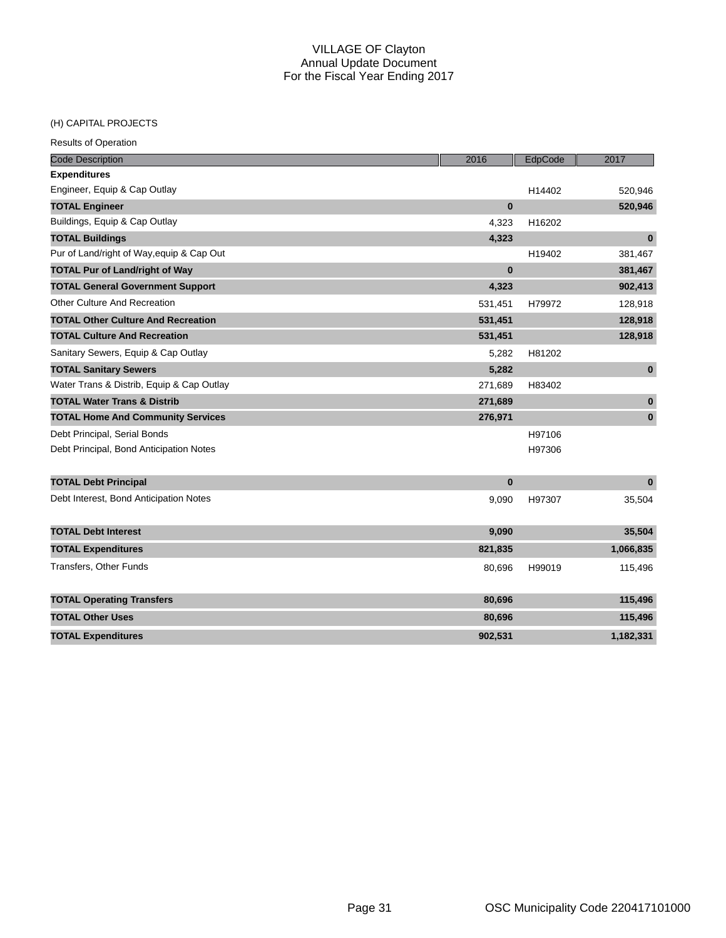## (H) CAPITAL PROJECTS

| <b>Code Description</b>                   | 2016         | EdpCode | 2017         |
|-------------------------------------------|--------------|---------|--------------|
| <b>Expenditures</b>                       |              |         |              |
| Engineer, Equip & Cap Outlay              |              | H14402  | 520,946      |
| <b>TOTAL Engineer</b>                     | $\bf{0}$     |         | 520,946      |
| Buildings, Equip & Cap Outlay             | 4,323        | H16202  |              |
| <b>TOTAL Buildings</b>                    | 4,323        |         | $\bf{0}$     |
| Pur of Land/right of Way, equip & Cap Out |              | H19402  | 381,467      |
| <b>TOTAL Pur of Land/right of Way</b>     | $\bf{0}$     |         | 381,467      |
| <b>TOTAL General Government Support</b>   | 4,323        |         | 902,413      |
| Other Culture And Recreation              | 531,451      | H79972  | 128,918      |
| <b>TOTAL Other Culture And Recreation</b> | 531,451      |         | 128,918      |
| <b>TOTAL Culture And Recreation</b>       | 531,451      |         | 128,918      |
| Sanitary Sewers, Equip & Cap Outlay       | 5,282        | H81202  |              |
| <b>TOTAL Sanitary Sewers</b>              | 5,282        |         | $\mathbf{0}$ |
| Water Trans & Distrib, Equip & Cap Outlay | 271,689      | H83402  |              |
| <b>TOTAL Water Trans &amp; Distrib</b>    | 271,689      |         | $\pmb{0}$    |
| <b>TOTAL Home And Community Services</b>  | 276,971      |         | $\bf{0}$     |
| Debt Principal, Serial Bonds              |              | H97106  |              |
| Debt Principal, Bond Anticipation Notes   |              | H97306  |              |
| <b>TOTAL Debt Principal</b>               | $\mathbf{0}$ |         | $\bf{0}$     |
| Debt Interest, Bond Anticipation Notes    | 9,090        | H97307  | 35,504       |
| <b>TOTAL Debt Interest</b>                | 9,090        |         | 35,504       |
| <b>TOTAL Expenditures</b>                 | 821,835      |         | 1,066,835    |
| <b>Transfers, Other Funds</b>             | 80,696       | H99019  | 115,496      |
| <b>TOTAL Operating Transfers</b>          | 80,696       |         | 115,496      |
| <b>TOTAL Other Uses</b>                   | 80,696       |         | 115,496      |
| <b>TOTAL Expenditures</b>                 | 902,531      |         | 1,182,331    |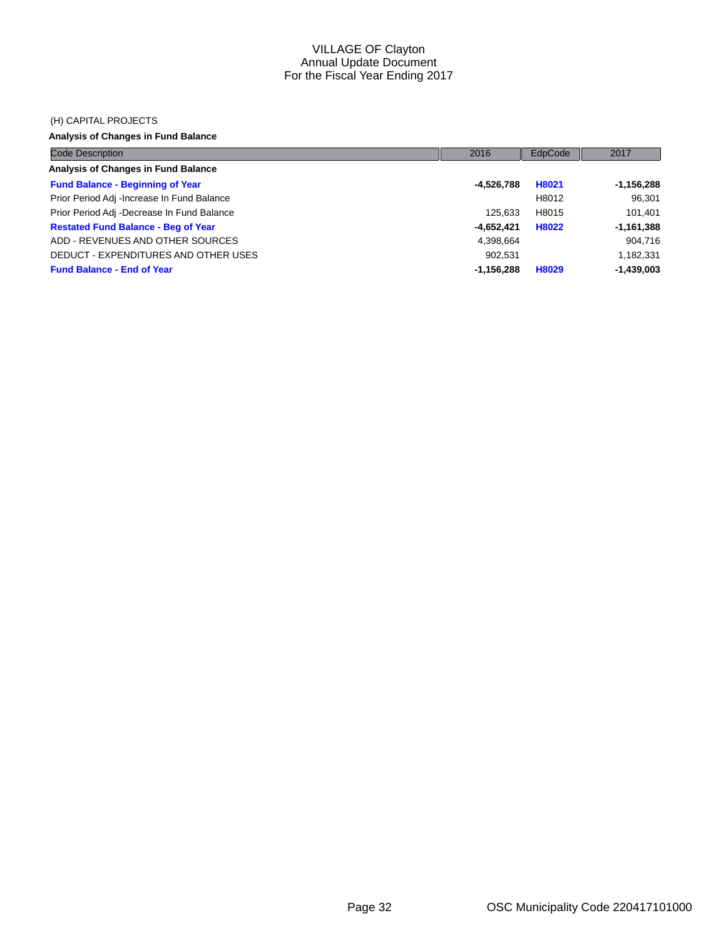#### (H) CAPITAL PROJECTS

## **Analysis of Changes in Fund Balance**

| <b>Code Description</b>                     | 2016         | EdpCode | 2017         |
|---------------------------------------------|--------------|---------|--------------|
| Analysis of Changes in Fund Balance         |              |         |              |
| <b>Fund Balance - Beginning of Year</b>     | -4,526,788   | H8021   | $-1,156,288$ |
| Prior Period Adj - Increase In Fund Balance |              | H8012   | 96.301       |
| Prior Period Adj -Decrease In Fund Balance  | 125.633      | H8015   | 101.401      |
| <b>Restated Fund Balance - Beg of Year</b>  | -4.652.421   | H8022   | $-1,161,388$ |
| ADD - REVENUES AND OTHER SOURCES            | 4,398,664    |         | 904,716      |
| DEDUCT - EXPENDITURES AND OTHER USES        | 902.531      |         | 1,182,331    |
| <b>Fund Balance - End of Year</b>           | $-1,156,288$ | H8029   | $-1,439,003$ |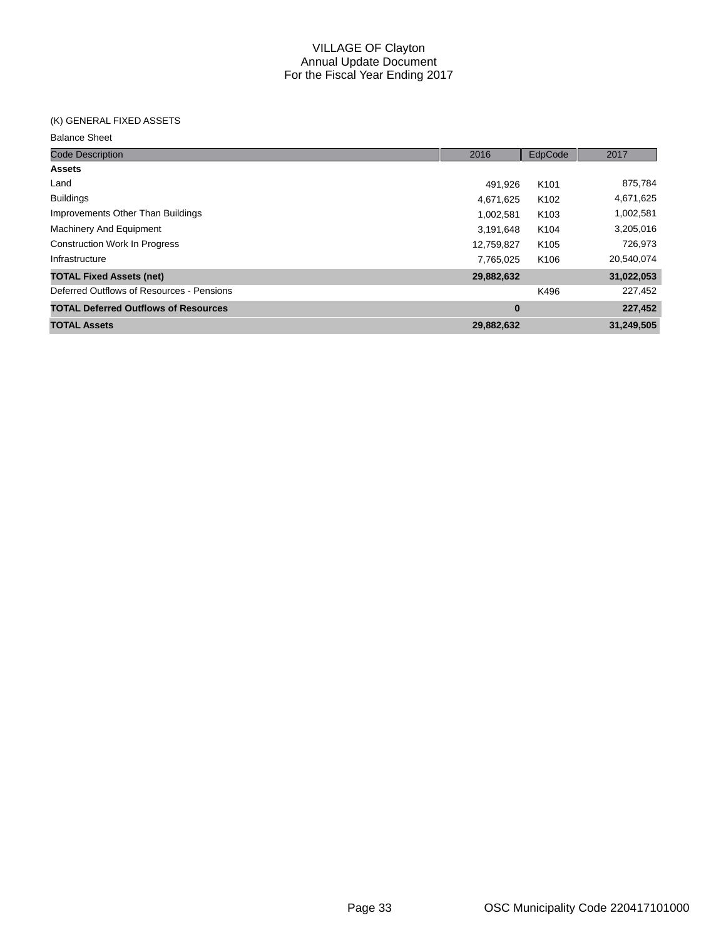#### (K) GENERAL FIXED ASSETS

| <b>Code Description</b>                     | 2016       | EdpCode          | 2017       |
|---------------------------------------------|------------|------------------|------------|
| <b>Assets</b>                               |            |                  |            |
| Land                                        | 491.926    | K <sub>101</sub> | 875,784    |
| <b>Buildings</b>                            | 4,671,625  | K <sub>102</sub> | 4,671,625  |
| Improvements Other Than Buildings           | 1,002,581  | K <sub>103</sub> | 1,002,581  |
| Machinery And Equipment                     | 3,191,648  | K <sub>104</sub> | 3,205,016  |
| <b>Construction Work In Progress</b>        | 12,759,827 | K <sub>105</sub> | 726,973    |
| Infrastructure                              | 7,765,025  | K <sub>106</sub> | 20,540,074 |
| <b>TOTAL Fixed Assets (net)</b>             | 29,882,632 |                  | 31,022,053 |
| Deferred Outflows of Resources - Pensions   |            | K496             | 227,452    |
| <b>TOTAL Deferred Outflows of Resources</b> | $\bf{0}$   |                  | 227,452    |
| <b>TOTAL Assets</b>                         | 29,882,632 |                  | 31,249,505 |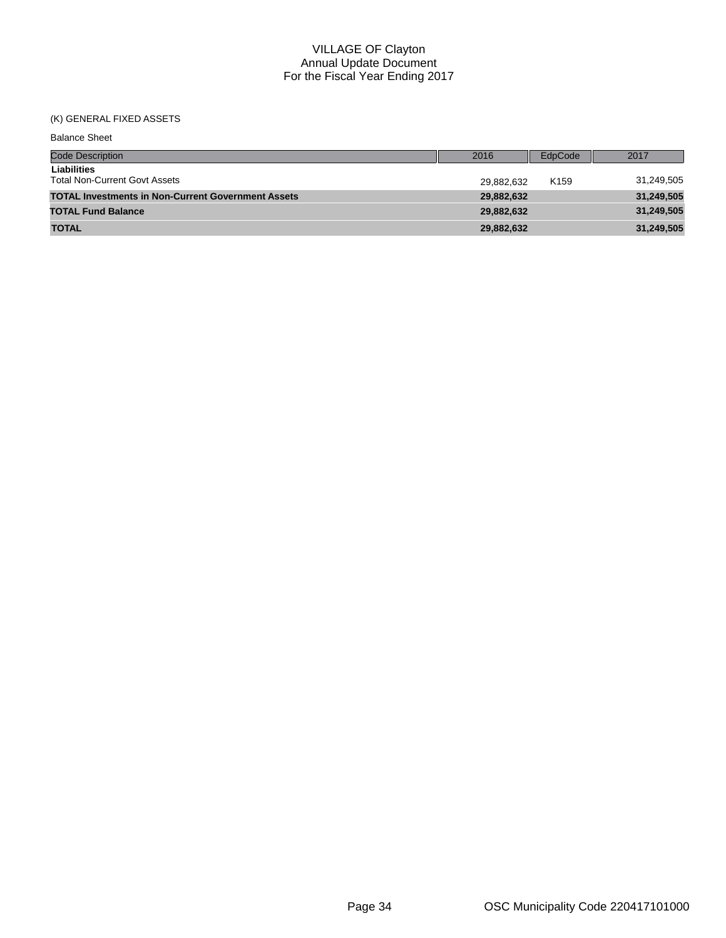# (K) GENERAL FIXED ASSETS

| <b>Balance Sheet</b>                                      |            |                  |            |
|-----------------------------------------------------------|------------|------------------|------------|
| <b>Code Description</b>                                   | 2016       | EdpCode          | 2017       |
| Liabilities<br><b>Total Non-Current Govt Assets</b>       | 29.882.632 | K <sub>159</sub> | 31,249,505 |
| <b>TOTAL Investments in Non-Current Government Assets</b> | 29,882,632 |                  | 31,249,505 |
| <b>TOTAL Fund Balance</b>                                 | 29,882,632 |                  | 31,249,505 |
| <b>TOTAL</b>                                              | 29,882,632 |                  | 31,249,505 |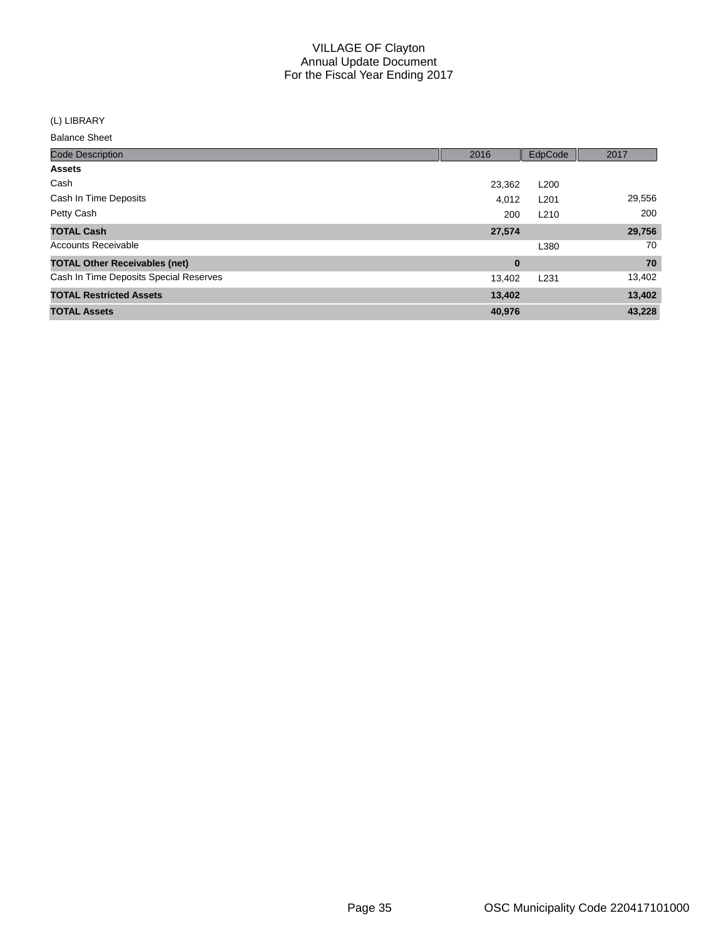(L) LIBRARY

| <b>Code Description</b>                | 2016     | EdpCode          | 2017   |
|----------------------------------------|----------|------------------|--------|
| <b>Assets</b>                          |          |                  |        |
| Cash                                   | 23,362   | L <sub>200</sub> |        |
| Cash In Time Deposits                  | 4.012    | L <sub>201</sub> | 29,556 |
| Petty Cash                             | 200      | L <sub>210</sub> | 200    |
| <b>TOTAL Cash</b>                      | 27,574   |                  | 29,756 |
| <b>Accounts Receivable</b>             |          | L380             | 70     |
| <b>TOTAL Other Receivables (net)</b>   | $\bf{0}$ |                  | 70     |
| Cash In Time Deposits Special Reserves | 13,402   | L <sub>231</sub> | 13,402 |
| <b>TOTAL Restricted Assets</b>         | 13,402   |                  | 13,402 |
| <b>TOTAL Assets</b>                    | 40,976   |                  | 43,228 |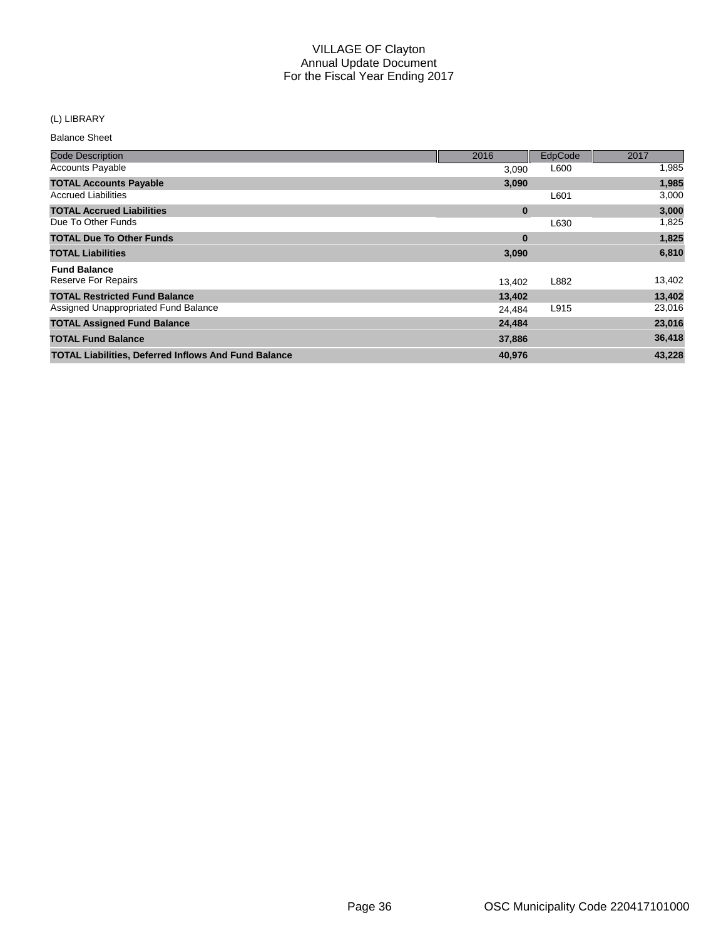## (L) LIBRARY

| <b>Code Description</b>                                     | 2016     | EdpCode | 2017   |
|-------------------------------------------------------------|----------|---------|--------|
| <b>Accounts Payable</b>                                     | 3,090    | L600    | 1,985  |
| <b>TOTAL Accounts Payable</b>                               | 3,090    |         | 1,985  |
| <b>Accrued Liabilities</b>                                  |          | L601    | 3,000  |
| <b>TOTAL Accrued Liabilities</b>                            | $\bf{0}$ |         | 3,000  |
| Due To Other Funds                                          |          | L630    | 1,825  |
| <b>TOTAL Due To Other Funds</b>                             | $\bf{0}$ |         | 1,825  |
| <b>TOTAL Liabilities</b>                                    | 3,090    |         | 6,810  |
| <b>Fund Balance</b>                                         |          |         |        |
| <b>Reserve For Repairs</b>                                  | 13,402   | L882    | 13,402 |
| <b>TOTAL Restricted Fund Balance</b>                        | 13,402   |         | 13,402 |
| Assigned Unappropriated Fund Balance                        | 24,484   | L915    | 23,016 |
| <b>TOTAL Assigned Fund Balance</b>                          | 24,484   |         | 23,016 |
| <b>TOTAL Fund Balance</b>                                   | 37,886   |         | 36,418 |
| <b>TOTAL Liabilities, Deferred Inflows And Fund Balance</b> | 40,976   |         | 43,228 |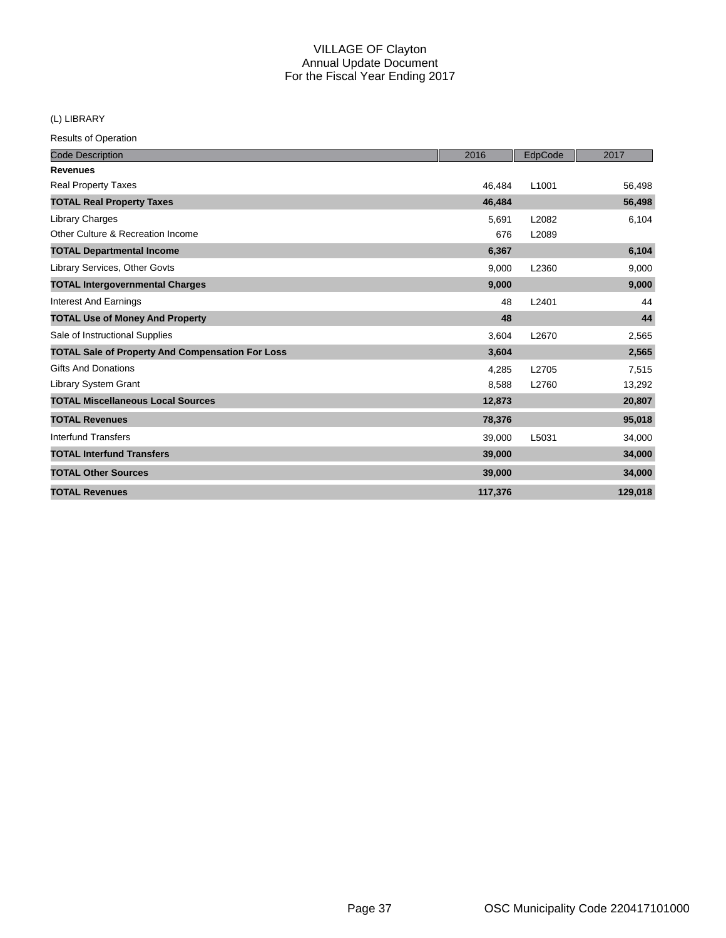## (L) LIBRARY

| <b>Code Description</b>                                 | 2016    | EdpCode           | 2017    |
|---------------------------------------------------------|---------|-------------------|---------|
| <b>Revenues</b>                                         |         |                   |         |
| <b>Real Property Taxes</b>                              | 46.484  | L <sub>1001</sub> | 56,498  |
| <b>TOTAL Real Property Taxes</b>                        | 46,484  |                   | 56,498  |
| Library Charges                                         | 5,691   | L2082             | 6,104   |
| Other Culture & Recreation Income                       | 676     | L2089             |         |
| <b>TOTAL Departmental Income</b>                        | 6,367   |                   | 6,104   |
| Library Services, Other Govts                           | 9,000   | L2360             | 9,000   |
| <b>TOTAL Intergovernmental Charges</b>                  | 9,000   |                   | 9,000   |
| <b>Interest And Earnings</b>                            | 48      | L2401             | 44      |
| <b>TOTAL Use of Money And Property</b>                  | 48      |                   | 44      |
| Sale of Instructional Supplies                          | 3,604   | L2670             | 2,565   |
| <b>TOTAL Sale of Property And Compensation For Loss</b> | 3,604   |                   | 2,565   |
| <b>Gifts And Donations</b>                              | 4,285   | L2705             | 7,515   |
| Library System Grant                                    | 8,588   | L2760             | 13,292  |
| <b>TOTAL Miscellaneous Local Sources</b>                | 12,873  |                   | 20,807  |
| <b>TOTAL Revenues</b>                                   | 78,376  |                   | 95,018  |
| Interfund Transfers                                     | 39,000  | L5031             | 34,000  |
| <b>TOTAL Interfund Transfers</b>                        | 39,000  |                   | 34,000  |
| <b>TOTAL Other Sources</b>                              | 39,000  |                   | 34,000  |
| <b>TOTAL Revenues</b>                                   | 117,376 |                   | 129,018 |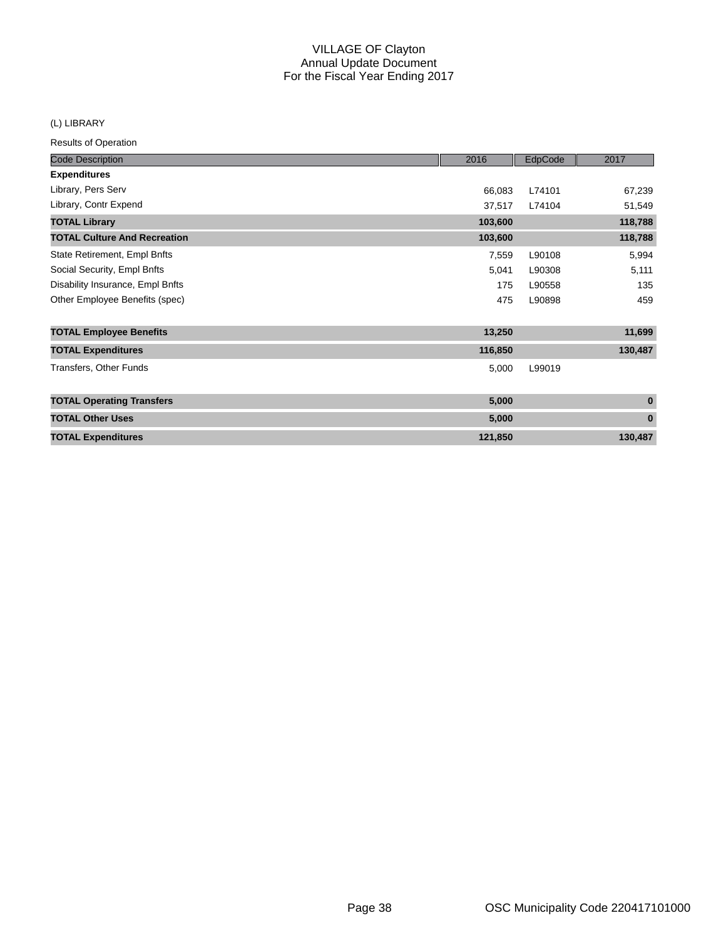## (L) LIBRARY

| <b>Code Description</b>             | 2016    | EdpCode | 2017     |
|-------------------------------------|---------|---------|----------|
| <b>Expenditures</b>                 |         |         |          |
| Library, Pers Serv                  | 66,083  | L74101  | 67,239   |
| Library, Contr Expend               | 37,517  | L74104  | 51,549   |
| <b>TOTAL Library</b>                | 103,600 |         | 118,788  |
| <b>TOTAL Culture And Recreation</b> | 103,600 |         | 118,788  |
| State Retirement, Empl Bnfts        | 7,559   | L90108  | 5,994    |
| Social Security, Empl Bnfts         | 5,041   | L90308  | 5,111    |
| Disability Insurance, Empl Bnfts    | 175     | L90558  | 135      |
| Other Employee Benefits (spec)      | 475     | L90898  | 459      |
| <b>TOTAL Employee Benefits</b>      | 13,250  |         | 11,699   |
| <b>TOTAL Expenditures</b>           | 116,850 |         | 130,487  |
| Transfers, Other Funds              | 5,000   | L99019  |          |
| <b>TOTAL Operating Transfers</b>    | 5,000   |         | $\bf{0}$ |
| <b>TOTAL Other Uses</b>             | 5,000   |         | $\bf{0}$ |
| <b>TOTAL Expenditures</b>           | 121,850 |         | 130,487  |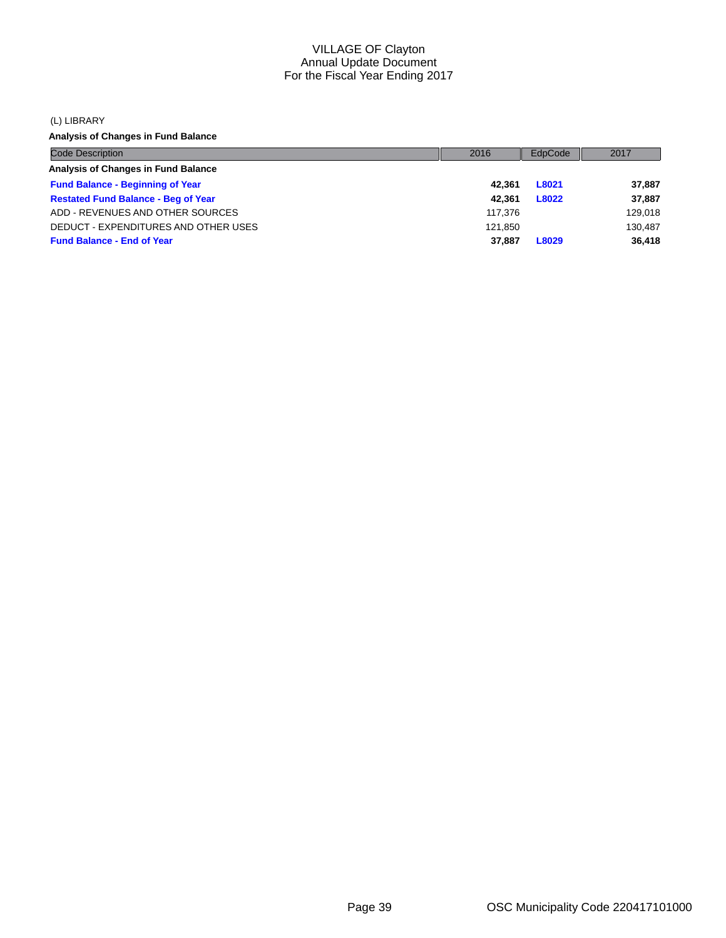(L) LIBRARY

**Analysis of Changes in Fund Balance**

| <b>Code Description</b>                    | 2016    | EdpCode | 2017    |
|--------------------------------------------|---------|---------|---------|
| Analysis of Changes in Fund Balance        |         |         |         |
| <b>Fund Balance - Beginning of Year</b>    | 42.361  | L8021   | 37,887  |
| <b>Restated Fund Balance - Beg of Year</b> | 42.361  | L8022   | 37,887  |
| ADD - REVENUES AND OTHER SOURCES           | 117.376 |         | 129,018 |
| DEDUCT - EXPENDITURES AND OTHER USES       | 121.850 |         | 130.487 |
| <b>Fund Balance - End of Year</b>          | 37,887  | L8029   | 36.418  |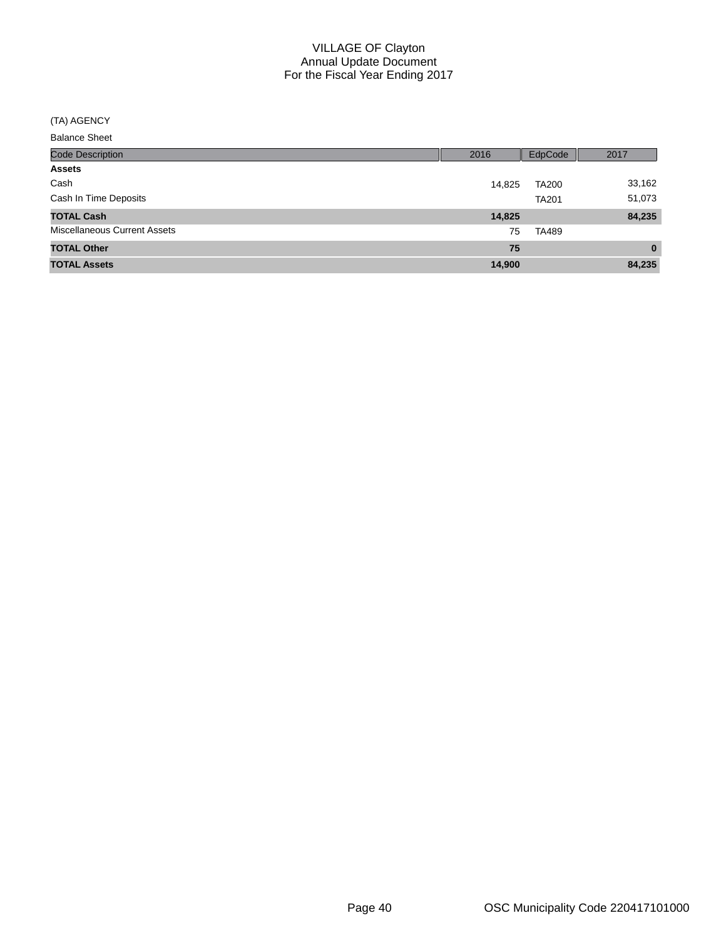#### (TA) AGENCY

| <b>Code Description</b>             | 2016   | EdpCode      | 2017     |
|-------------------------------------|--------|--------------|----------|
| <b>Assets</b>                       |        |              |          |
| Cash                                | 14,825 | <b>TA200</b> | 33,162   |
| Cash In Time Deposits               |        | <b>TA201</b> | 51,073   |
| <b>TOTAL Cash</b>                   | 14,825 |              | 84,235   |
| <b>Miscellaneous Current Assets</b> | 75     | TA489        |          |
| <b>TOTAL Other</b>                  | 75     |              | $\bf{0}$ |
| <b>TOTAL Assets</b>                 | 14,900 |              | 84,235   |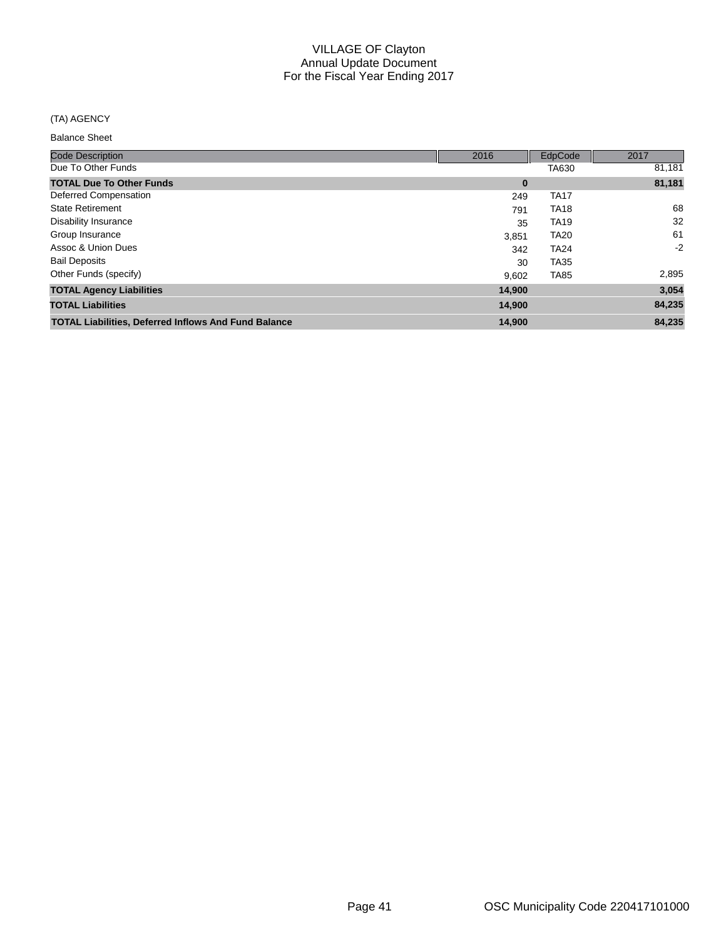## (TA) AGENCY

| <b>Code Description</b>                                     | 2016     | EdpCode     | 2017   |
|-------------------------------------------------------------|----------|-------------|--------|
| Due To Other Funds                                          |          | TA630       | 81,181 |
| <b>TOTAL Due To Other Funds</b>                             | $\bf{0}$ |             | 81,181 |
| Deferred Compensation                                       | 249      | <b>TA17</b> |        |
| <b>State Retirement</b>                                     | 791      | <b>TA18</b> | 68     |
| <b>Disability Insurance</b>                                 | 35       | <b>TA19</b> | 32     |
| Group Insurance                                             | 3,851    | <b>TA20</b> | 61     |
| Assoc & Union Dues                                          | 342      | <b>TA24</b> | $-2$   |
| <b>Bail Deposits</b>                                        | 30       | <b>TA35</b> |        |
| Other Funds (specify)                                       | 9.602    | <b>TA85</b> | 2,895  |
| <b>TOTAL Agency Liabilities</b>                             | 14.900   |             | 3,054  |
| <b>TOTAL Liabilities</b>                                    | 14,900   |             | 84,235 |
| <b>TOTAL Liabilities, Deferred Inflows And Fund Balance</b> | 14,900   |             | 84.235 |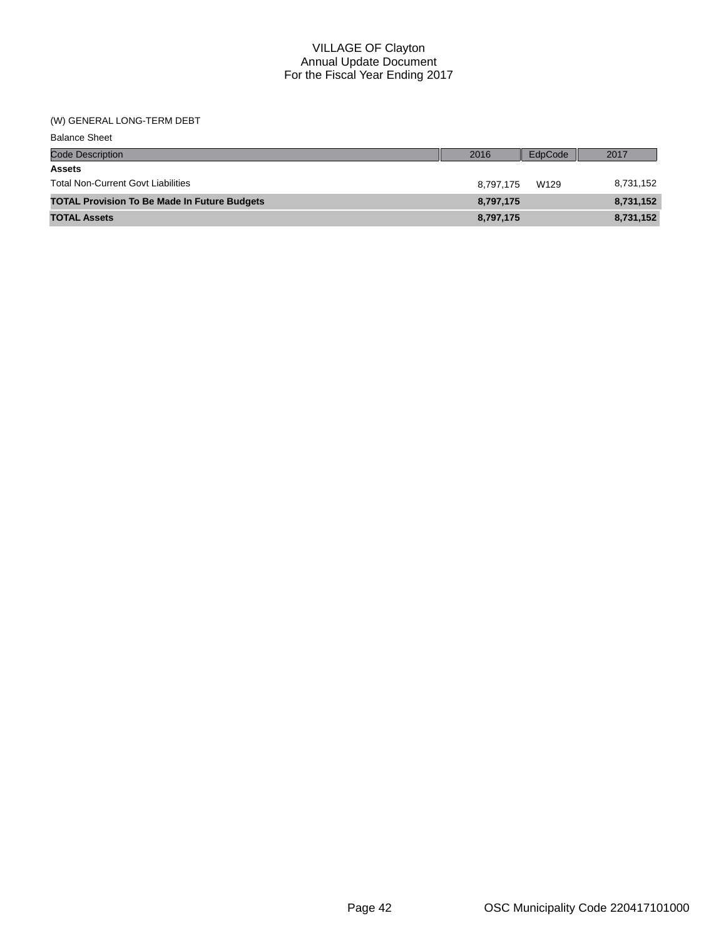#### (W) GENERAL LONG-TERM DEBT

| <b>Balance Sheet</b>                                |           |         |           |
|-----------------------------------------------------|-----------|---------|-----------|
| <b>Code Description</b>                             | 2016      | EdpCode | 2017      |
| <b>Assets</b>                                       |           |         |           |
| <b>Total Non-Current Govt Liabilities</b>           | 8.797.175 | W129    | 8,731,152 |
| <b>TOTAL Provision To Be Made In Future Budgets</b> | 8,797,175 |         | 8,731,152 |
| <b>TOTAL Assets</b>                                 | 8,797,175 |         | 8,731,152 |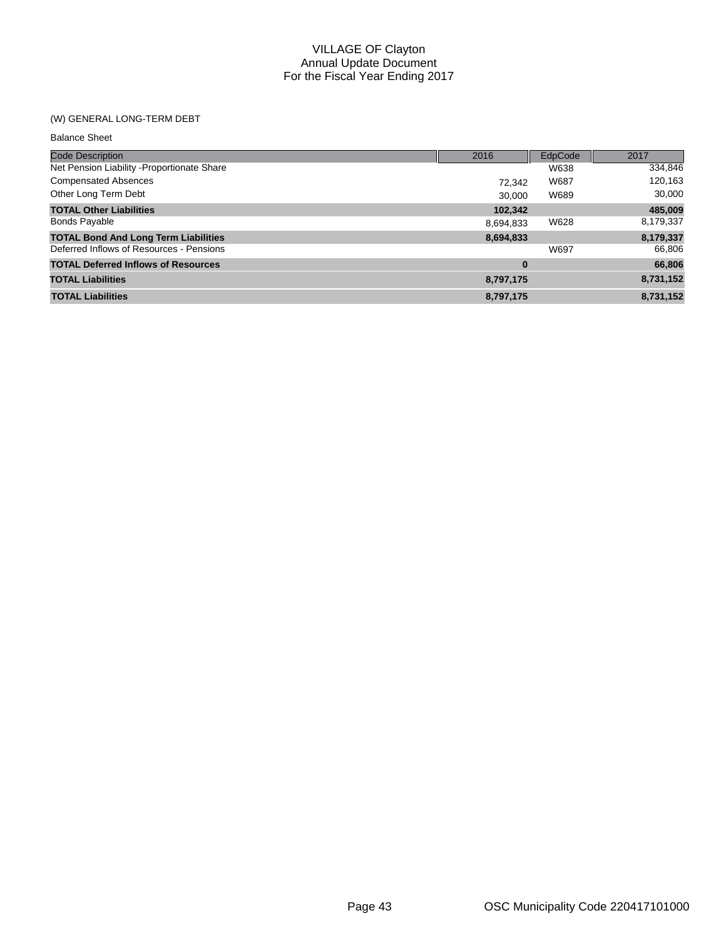## (W) GENERAL LONG-TERM DEBT

| <b>Balance Sheet</b>                        |           |         |           |
|---------------------------------------------|-----------|---------|-----------|
| <b>Code Description</b>                     | 2016      | EdpCode | 2017      |
| Net Pension Liability - Proportionate Share |           | W638    | 334,846   |
| <b>Compensated Absences</b>                 | 72.342    | W687    | 120,163   |
| Other Long Term Debt                        | 30.000    | W689    | 30,000    |
| <b>TOTAL Other Liabilities</b>              | 102,342   |         | 485,009   |
| <b>Bonds Payable</b>                        | 8,694,833 | W628    | 8,179,337 |
| <b>TOTAL Bond And Long Term Liabilities</b> | 8,694,833 |         | 8,179,337 |
| Deferred Inflows of Resources - Pensions    |           | W697    | 66,806    |
| <b>TOTAL Deferred Inflows of Resources</b>  | $\bf{0}$  |         | 66,806    |
| <b>TOTAL Liabilities</b>                    | 8,797,175 |         | 8,731,152 |
| <b>TOTAL Liabilities</b>                    | 8,797,175 |         | 8,731,152 |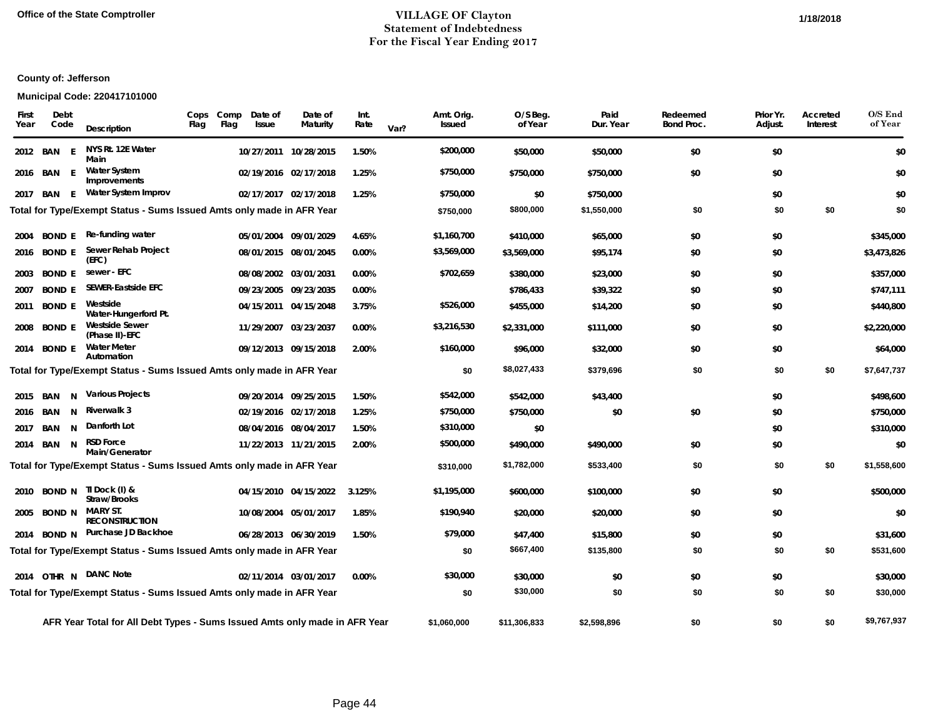#### **Office of the State Comptroller VILLAGE OF Clayton 1/18/2018Statement of Indebtedness For the Fiscal Year Ending 2017**

## **County of: Jefferson**

## **Municipal Code: 220417101000**

| First<br>Year | Debt<br>Code  |   | Description                                                                | Cops<br>Flag | Comp<br>Flag | Date of<br><b>Issue</b> | Date of<br>Maturity   | Int.<br>Rate | Var? | Amt. Orig.<br><b>Issued</b> | O/S Beg.<br>of Year | Paid<br>Dur. Year | Redeemed<br><b>Bond Proc.</b> | Prior Yr.<br>Adjust. | Accreted<br>Interest | O/S End<br>of Year |
|---------------|---------------|---|----------------------------------------------------------------------------|--------------|--------------|-------------------------|-----------------------|--------------|------|-----------------------------|---------------------|-------------------|-------------------------------|----------------------|----------------------|--------------------|
|               | 2012 BAN      | E | NYS Rt. 12E Water<br>Main                                                  |              |              |                         | 10/27/2011 10/28/2015 | 1.50%        |      | \$200,000                   | \$50,000            | \$50,000          | \$0                           | \$0                  |                      | \$0                |
|               | 2016 BAN E    |   | <b>Water System</b><br>Improvements                                        |              |              |                         | 02/19/2016 02/17/2018 | 1.25%        |      | \$750,000                   | \$750,000           | \$750,000         | \$0                           | \$0                  |                      | \$0                |
| 2017          | BAN           | E | Water System Improv                                                        |              |              |                         | 02/17/2017 02/17/2018 | 1.25%        |      | \$750,000                   | \$0                 | \$750,000         |                               | \$0                  |                      | \$0                |
|               |               |   | Total for Type/Exempt Status - Sums Issued Amts only made in AFR Year      |              |              |                         |                       |              |      | \$750,000                   | \$800,000           | \$1,550,000       | \$0                           | \$0                  | \$0                  | \$0                |
|               | 2004 BOND E   |   | Re-funding water                                                           |              |              |                         | 05/01/2004 09/01/2029 | 4.65%        |      | \$1,160,700                 | \$410,000           | \$65,000          | \$0                           | \$0                  |                      | \$345,000          |
|               | 2016 BOND E   |   | Sewer Rehab Project<br>(EFC)                                               |              |              |                         | 08/01/2015 08/01/2045 | 0.00%        |      | \$3,569,000                 | \$3,569,000         | \$95,174          | \$0                           | \$0                  |                      | \$3,473,826        |
| 2003          | <b>BOND E</b> |   | sewer - EFC                                                                |              |              |                         | 08/08/2002 03/01/2031 | 0.00%        |      | \$702,659                   | \$380,000           | \$23,000          | \$0                           | \$0                  |                      | \$357,000          |
| 2007          | <b>BOND E</b> |   | <b>SEWER-Eastside EFC</b>                                                  |              |              |                         | 09/23/2005 09/23/2035 | 0.00%        |      |                             | \$786,433           | \$39,322          | \$0                           | \$0                  |                      | \$747,111          |
|               | 2011 BOND E   |   | Westside<br>Water-Hungerford Pt.                                           |              |              |                         | 04/15/2011 04/15/2048 | 3.75%        |      | \$526,000                   | \$455,000           | \$14,200          | \$0                           | \$0                  |                      | \$440,800          |
|               | 2008 BOND E   |   | <b>Westside Sewer</b><br>(Phase II)-EFC                                    |              |              |                         | 11/29/2007 03/23/2037 | 0.00%        |      | \$3,216,530                 | \$2,331,000         | \$111,000         | \$0                           | \$0                  |                      | \$2,220,000        |
|               | 2014 BOND E   |   | <b>Water Meter</b><br>Automation                                           |              |              |                         | 09/12/2013 09/15/2018 | 2.00%        |      | \$160,000                   | \$96,000            | \$32,000          | \$0                           | \$0                  |                      | \$64,000           |
|               |               |   | Total for Type/Exempt Status - Sums Issued Amts only made in AFR Year      |              |              |                         |                       |              |      | \$0                         | \$8,027,433         | \$379,696         | \$0                           | \$0                  | \$0                  | \$7,647,737        |
|               | 2015 BAN      | N | <b>Various Projects</b>                                                    |              |              |                         | 09/20/2014 09/25/2015 | 1.50%        |      | \$542,000                   | \$542,000           | \$43,400          |                               | \$0                  |                      | \$498,600          |
|               | 2016 BAN      | N | <b>Riverwalk 3</b>                                                         |              |              |                         | 02/19/2016 02/17/2018 | 1.25%        |      | \$750,000                   | \$750,000           | \$0               | \$0                           | \$0                  |                      | \$750,000          |
| 2017          | BAN           | N | Danforth Lot                                                               |              |              |                         | 08/04/2016 08/04/2017 | 1.50%        |      | \$310,000                   | \$0                 |                   |                               | \$0                  |                      | \$310,000          |
|               | 2014 BAN      | N | <b>RSD Force</b><br>Main/Generator                                         |              |              |                         | 11/22/2013 11/21/2015 | 2.00%        |      | \$500,000                   | \$490,000           | \$490,000         | \$0                           | \$0                  |                      | \$0                |
|               |               |   | Total for Type/Exempt Status - Sums Issued Amts only made in AFR Year      |              |              |                         |                       |              |      | \$310,000                   | \$1,782,000         | \$533,400         | \$0                           | \$0                  | \$0                  | \$1,558,600        |
|               | 2010 BOND N   |   | TI Dock (I) &<br>Straw/Brooks                                              |              |              |                         | 04/15/2010 04/15/2022 | 3.125%       |      | \$1,195,000                 | \$600,000           | \$100,000         | \$0                           | \$0                  |                      | \$500,000          |
| 2005          | <b>BOND N</b> |   | <b>MARY ST.</b><br><b>RECONSTRUCTION</b>                                   |              |              |                         | 10/08/2004 05/01/2017 | 1.85%        |      | \$190,940                   | \$20,000            | \$20,000          | \$0                           | \$0                  |                      | \$0                |
|               | 2014 BOND N   |   | Purchase JD Backhoe                                                        |              |              |                         | 06/28/2013 06/30/2019 | 1.50%        |      | \$79,000                    | \$47,400            | \$15,800          | \$0                           | \$0                  |                      | \$31,600           |
|               |               |   | Total for Type/Exempt Status - Sums Issued Amts only made in AFR Year      |              |              |                         |                       |              |      | \$0                         | \$667,400           | \$135,800         | \$0                           | \$0                  | \$0                  | \$531,600          |
|               |               |   | 2014 OTHR N DANC Note                                                      |              |              |                         | 02/11/2014 03/01/2017 | 0.00%        |      | \$30,000                    | \$30,000            | \$0               | \$0                           | \$0                  |                      | \$30,000           |
|               |               |   | Total for Type/Exempt Status - Sums Issued Amts only made in AFR Year      |              |              |                         |                       |              |      | \$0                         | \$30,000            | \$0               | \$0                           | \$0                  | \$0                  | \$30,000           |
|               |               |   | AFR Year Total for All Debt Types - Sums Issued Amts only made in AFR Year |              |              |                         |                       |              |      | \$1,060,000                 | \$11,306,833        | \$2,598,896       | \$0                           | \$0                  | \$0                  | \$9,767,937        |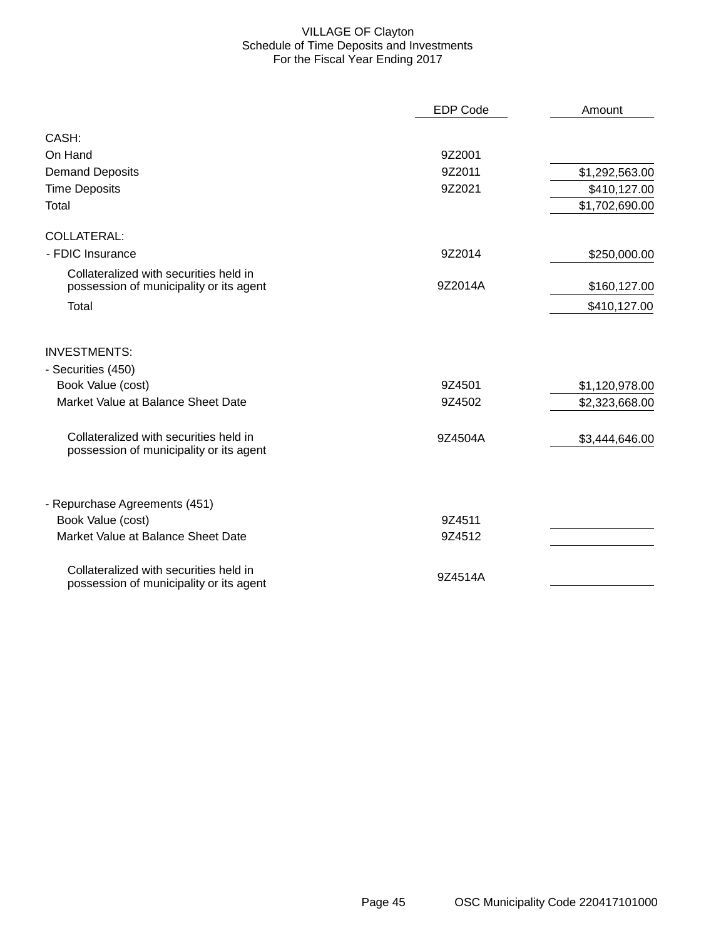#### VILLAGE OF Clayton Schedule of Time Deposits and Investments For the Fiscal Year Ending 2017

|                                                                                   | <b>EDP Code</b> | Amount         |
|-----------------------------------------------------------------------------------|-----------------|----------------|
| CASH:                                                                             |                 |                |
| On Hand                                                                           | 9Z2001          |                |
| <b>Demand Deposits</b>                                                            | 9Z2011          | \$1,292,563.00 |
| <b>Time Deposits</b>                                                              | 9Z2021          | \$410,127.00   |
| Total                                                                             |                 | \$1,702,690.00 |
| <b>COLLATERAL:</b>                                                                |                 |                |
| - FDIC Insurance                                                                  | 9Z2014          | \$250,000.00   |
| Collateralized with securities held in<br>possession of municipality or its agent | 9Z2014A         | \$160,127.00   |
| Total                                                                             |                 | \$410,127.00   |
| <b>INVESTMENTS:</b>                                                               |                 |                |
| - Securities (450)                                                                |                 |                |
| Book Value (cost)                                                                 | 9Z4501          | \$1,120,978.00 |
| Market Value at Balance Sheet Date                                                | 9Z4502          | \$2,323,668.00 |
| Collateralized with securities held in<br>possession of municipality or its agent | 9Z4504A         | \$3,444,646.00 |
| - Repurchase Agreements (451)                                                     |                 |                |
| Book Value (cost)                                                                 | 9Z4511          |                |
| Market Value at Balance Sheet Date                                                | 9Z4512          |                |
| Collateralized with securities held in<br>possession of municipality or its agent | 9Z4514A         |                |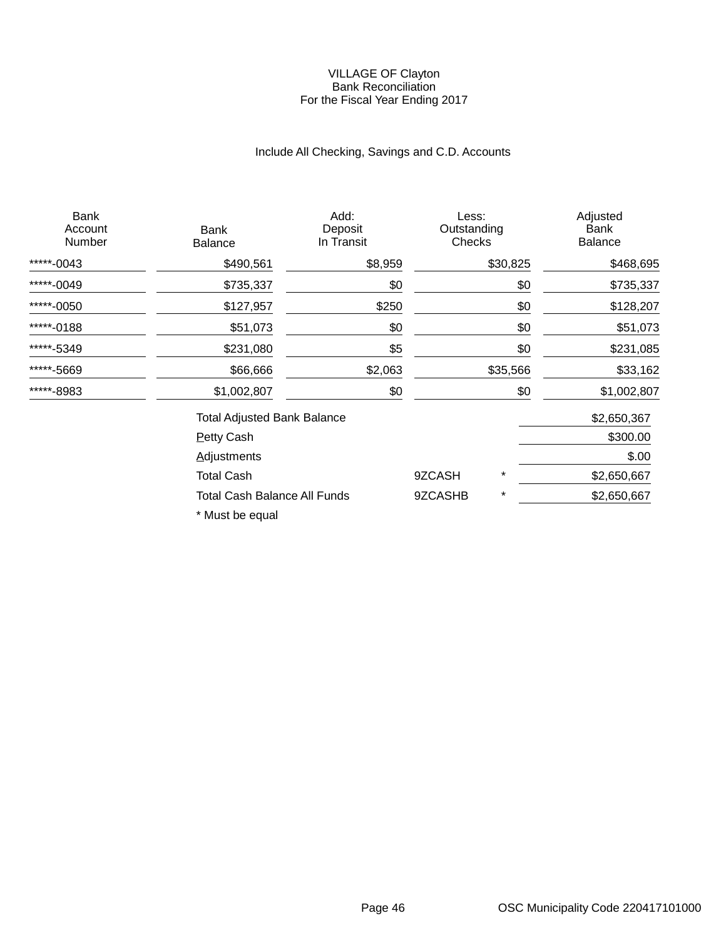#### VILLAGE OF Clayton Bank Reconciliation For the Fiscal Year Ending 2017

# Include All Checking, Savings and C.D. Accounts

| <b>Bank</b><br>Account<br>Number | Bank<br><b>Balance</b>              | Add:<br>Deposit<br>In Transit | Less:<br>Outstanding<br>Checks |          | Adjusted<br><b>Bank</b><br><b>Balance</b> |
|----------------------------------|-------------------------------------|-------------------------------|--------------------------------|----------|-------------------------------------------|
| *****-0043                       | \$490,561                           | \$8,959                       |                                | \$30,825 | \$468,695                                 |
| *****-0049                       | \$735,337                           | \$0                           |                                | \$0      | \$735,337                                 |
| *****-0050                       | \$127,957                           | \$250                         |                                | \$0      | \$128,207                                 |
| *****-0188                       | \$51,073                            | \$0                           |                                | \$0      | \$51,073                                  |
| *****-5349                       | \$231,080                           | \$5                           |                                | \$0      | \$231,085                                 |
| *****-5669                       | \$66,666                            | \$2,063                       |                                | \$35,566 | \$33,162                                  |
| *****-8983                       | \$1,002,807                         | \$0                           |                                | \$0      | \$1,002,807                               |
|                                  | <b>Total Adjusted Bank Balance</b>  |                               |                                |          | \$2,650,367                               |
|                                  | <b>Petty Cash</b>                   |                               |                                |          | \$300.00                                  |
|                                  | <b>Adjustments</b>                  |                               |                                |          | \$.00                                     |
|                                  | <b>Total Cash</b>                   |                               | 9ZCASH                         | *        | \$2,650,667                               |
|                                  | <b>Total Cash Balance All Funds</b> |                               | 9ZCASHB                        | *        | \$2,650,667                               |

\* Must be equal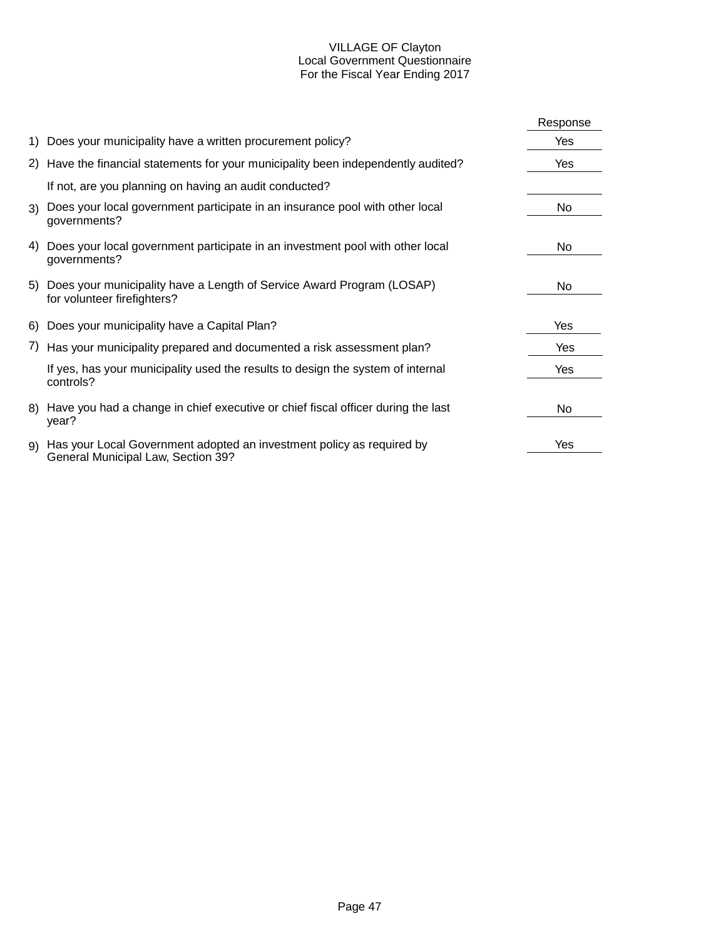#### VILLAGE OF Clayton Local Government Questionnaire For the Fiscal Year Ending 2017

|    |                                                                                                             | Response |
|----|-------------------------------------------------------------------------------------------------------------|----------|
|    | 1) Does your municipality have a written procurement policy?                                                | Yes      |
|    | 2) Have the financial statements for your municipality been independently audited?                          | Yes      |
|    | If not, are you planning on having an audit conducted?                                                      |          |
|    | 3) Does your local government participate in an insurance pool with other local<br>governments?             | No       |
| 4) | Does your local government participate in an investment pool with other local<br>governments?               | No.      |
|    | 5) Does your municipality have a Length of Service Award Program (LOSAP)<br>for volunteer firefighters?     | No       |
|    | 6) Does your municipality have a Capital Plan?                                                              | Yes      |
|    | 7) Has your municipality prepared and documented a risk assessment plan?                                    | Yes      |
|    | If yes, has your municipality used the results to design the system of internal<br>controls?                | Yes      |
|    | 8) Have you had a change in chief executive or chief fiscal officer during the last<br>year?                | No.      |
| 9) | Has your Local Government adopted an investment policy as required by<br>General Municipal Law, Section 39? | Yes      |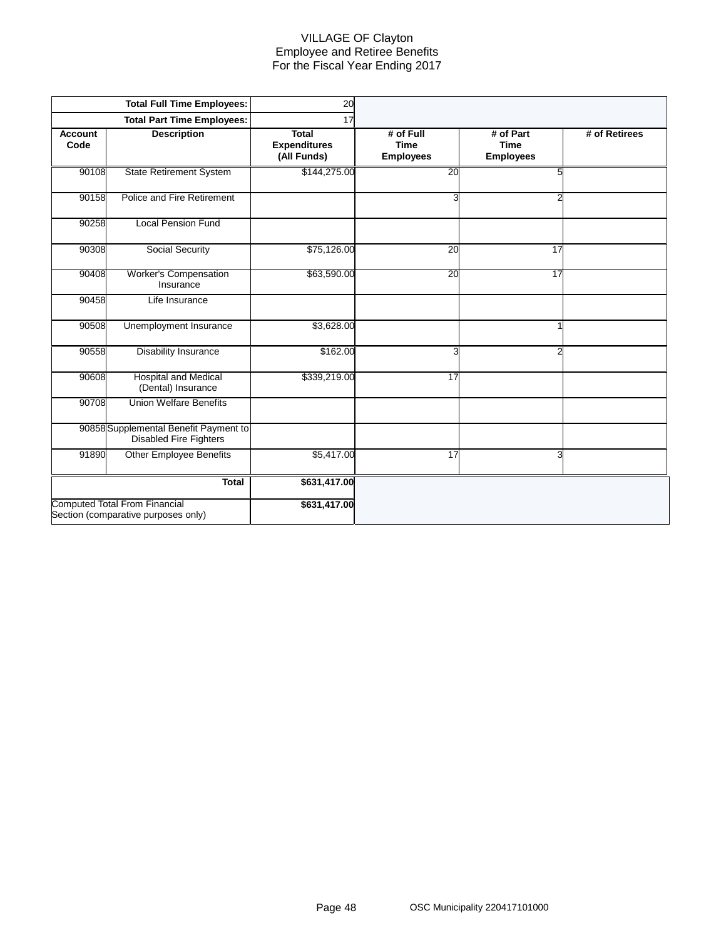#### VILLAGE OF Clayton Employee and Retiree Benefits For the Fiscal Year Ending 2017

|                        | <b>Total Full Time Employees:</b>                                           | 20                                                 |                                              |                                              |               |
|------------------------|-----------------------------------------------------------------------------|----------------------------------------------------|----------------------------------------------|----------------------------------------------|---------------|
|                        | <b>Total Part Time Employees:</b>                                           | 17                                                 |                                              |                                              |               |
| <b>Account</b><br>Code | <b>Description</b>                                                          | <b>Total</b><br><b>Expenditures</b><br>(All Funds) | # of Full<br><b>Time</b><br><b>Employees</b> | # of Part<br><b>Time</b><br><b>Employees</b> | # of Retirees |
| 90108                  | <b>State Retirement System</b>                                              | \$144,275.00                                       | 20                                           | 5                                            |               |
| 90158                  | Police and Fire Retirement                                                  |                                                    | 3                                            | 2                                            |               |
| 90258                  | <b>Local Pension Fund</b>                                                   |                                                    |                                              |                                              |               |
| 90308                  | Social Security                                                             | \$75,126.00                                        | 20                                           | 17                                           |               |
| 90408                  | <b>Worker's Compensation</b><br>Insurance                                   | \$63,590.00                                        | $\overline{20}$                              | $\overline{17}$                              |               |
| 90458                  | Life Insurance                                                              |                                                    |                                              |                                              |               |
| 90508                  | Unemployment Insurance                                                      | \$3,628.00                                         |                                              |                                              |               |
| 90558                  | <b>Disability Insurance</b>                                                 | \$162.00                                           | 3                                            | 2                                            |               |
| 90608                  | <b>Hospital and Medical</b><br>(Dental) Insurance                           | \$339,219.00                                       | 17                                           |                                              |               |
| 90708                  | <b>Union Welfare Benefits</b>                                               |                                                    |                                              |                                              |               |
|                        | 90858 Supplemental Benefit Payment to<br><b>Disabled Fire Fighters</b>      |                                                    |                                              |                                              |               |
| 91890                  | <b>Other Employee Benefits</b>                                              | \$5,417.00                                         | $\overline{17}$                              | 3                                            |               |
|                        | <b>Total</b>                                                                | \$631,417.00                                       |                                              |                                              |               |
|                        | <b>Computed Total From Financial</b><br>Section (comparative purposes only) | \$631,417.00                                       |                                              |                                              |               |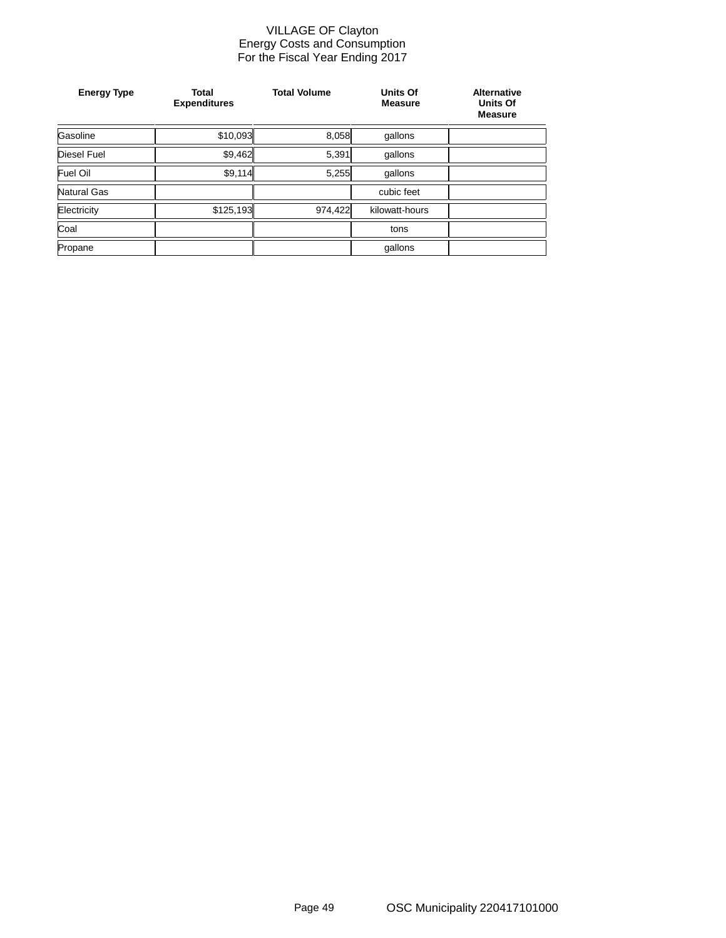#### VILLAGE OF Clayton Energy Costs and Consumption For the Fiscal Year Ending 2017

| <b>Energy Type</b> | <b>Total</b><br><b>Expenditures</b> | <b>Total Volume</b> | Units Of<br><b>Measure</b> | <b>Alternative</b><br>Units Of<br><b>Measure</b> |
|--------------------|-------------------------------------|---------------------|----------------------------|--------------------------------------------------|
| Gasoline           | \$10,093                            | 8,058               | gallons                    |                                                  |
| <b>Diesel Fuel</b> | \$9,462                             | 5,391               | gallons                    |                                                  |
| Fuel Oil           | \$9,114                             | 5,255               | qallons                    |                                                  |
| Natural Gas        |                                     |                     | cubic feet                 |                                                  |
| Electricity        | \$125,193                           | 974,422             | kilowatt-hours             |                                                  |
| Coal               |                                     |                     | tons                       |                                                  |
| Propane            |                                     |                     | gallons                    |                                                  |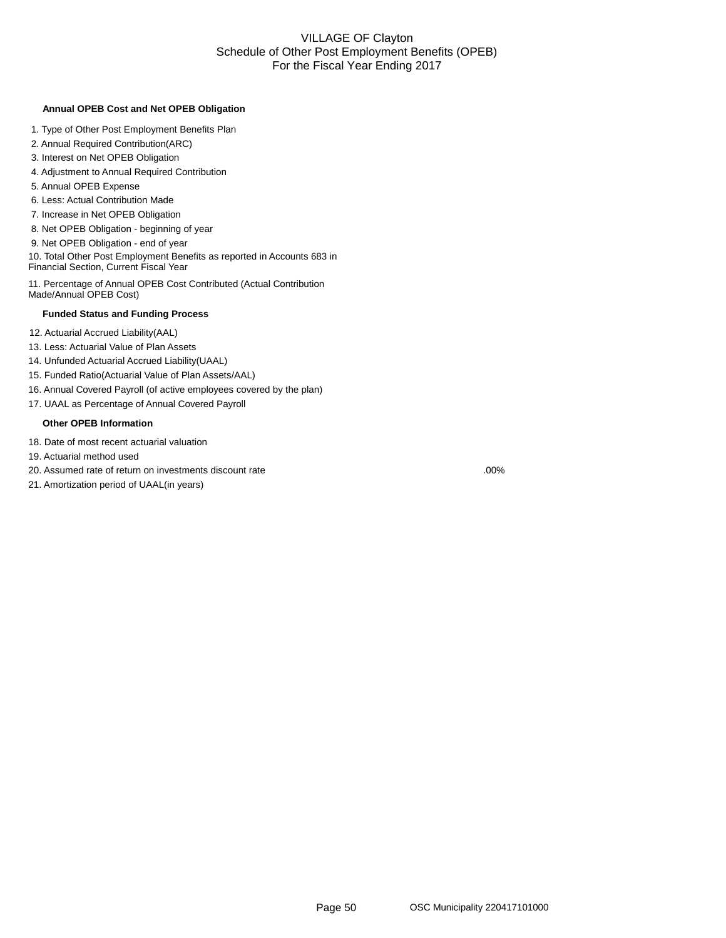#### VILLAGE OF Clayton Schedule of Other Post Employment Benefits (OPEB) For the Fiscal Year Ending 2017

#### **Annual OPEB Cost and Net OPEB Obligation**

- 1. Type of Other Post Employment Benefits Plan
- 2. Annual Required Contribution(ARC)
- 3. Interest on Net OPEB Obligation
- 4. Adjustment to Annual Required Contribution
- 5. Annual OPEB Expense
- 6. Less: Actual Contribution Made
- 7. Increase in Net OPEB Obligation
- 8. Net OPEB Obligation beginning of year
- 9. Net OPEB Obligation end of year

10. Total Other Post Employment Benefits as reported in Accounts 683 in Financial Section, Current Fiscal Year

11. Percentage of Annual OPEB Cost Contributed (Actual Contribution Made/Annual OPEB Cost)

#### **Funded Status and Funding Process**

- 12. Actuarial Accrued Liability(AAL)
- 13. Less: Actuarial Value of Plan Assets
- 14. Unfunded Actuarial Accrued Liability(UAAL)
- 15. Funded Ratio(Actuarial Value of Plan Assets/AAL)
- 16. Annual Covered Payroll (of active employees covered by the plan)
- 17. UAAL as Percentage of Annual Covered Payroll

#### **Other OPEB Information**

- 18. Date of most recent actuarial valuation
- 19. Actuarial method used
- 20. Assumed rate of return on investments discount rate

21. Amortization period of UAAL(in years)

.00%